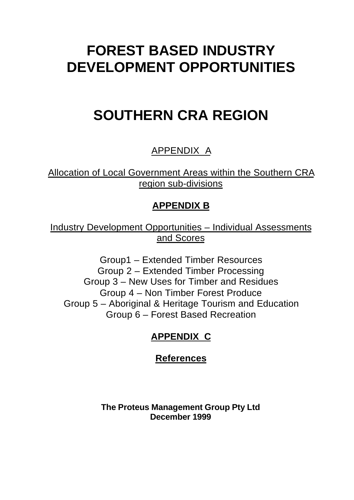# **FOREST BASED INDUSTRY DEVELOPMENT OPPORTUNITIES**

# **SOUTHERN CRA REGION**

# APPENDIX A

Allocation of Local Government Areas within the Southern CRA region sub-divisions

## **APPENDIX B**

Industry Development Opportunities – Individual Assessments and Scores

Group1 – Extended Timber Resources Group 2 – Extended Timber Processing Group 3 – New Uses for Timber and Residues Group 4 – Non Timber Forest Produce Group 5 – Aboriginal & Heritage Tourism and Education Group 6 – Forest Based Recreation

# **APPENDIX C**

## **References**

**The Proteus Management Group Pty Ltd December 1999**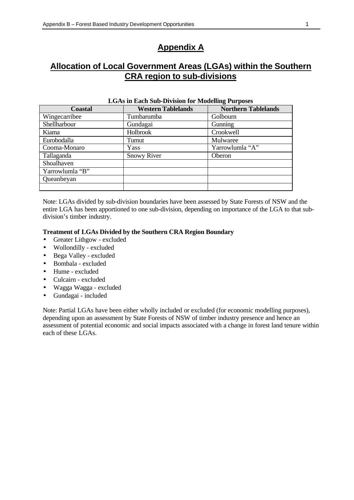### **Appendix A**

### **Allocation of Local Government Areas (LGAs) within the Southern CRA region to sub-divisions**

| <b>Coastal</b>  | <b>Western Tablelands</b> | <b>Northern Tablelands</b> |
|-----------------|---------------------------|----------------------------|
| Wingecarribee   | Tumbarumba                | Golbourn                   |
| Shellharbour    | Gundagai                  | Gunning                    |
| Kiama           | Holbrook                  | Crookwell                  |
| Eurobodalla     | Tumut                     | Mulwaree                   |
| Cooma-Monaro    | Yass                      | Yarrowlumla "A"            |
| Tallaganda      | <b>Snowy River</b>        | Oberon                     |
| Shoalhaven      |                           |                            |
| Yarrowlumla "B" |                           |                            |
| Queanbeyan      |                           |                            |
|                 |                           |                            |

#### **LGAs in Each Sub-Division for Modelling Purposes**

Note: LGAs divided by sub-division boundaries have been assessed by State Forests of NSW and the entire LGA has been apportioned to one sub-division, depending on importance of the LGA to that subdivision's timber industry.

#### **Treatment of LGAs Divided by the Southern CRA Region Boundary**

- Greater Lithgow excluded
- Wollondilly excluded
- Bega Valley excluded
- Bombala excluded
- Hume excluded
- Culcairn excluded
- Wagga Wagga excluded
- Gundagai included

Note: Partial LGAs have been either wholly included or excluded (for economic modelling purposes), depending upon an assessment by State Forests of NSW of timber industry presence and hence an assessment of potential economic and social impacts associated with a change in forest land tenure within each of these LGAs.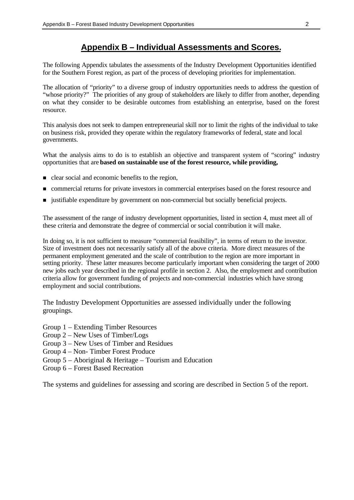#### **Appendix B – Individual Assessments and Scores.**

The following Appendix tabulates the assessments of the Industry Development Opportunities identified for the Southern Forest region, as part of the process of developing priorities for implementation.

The allocation of "priority" to a diverse group of industry opportunities needs to address the question of "whose priority?" The priorities of any group of stakeholders are likely to differ from another, depending on what they consider to be desirable outcomes from establishing an enterprise, based on the forest resource.

This analysis does not seek to dampen entrepreneurial skill nor to limit the rights of the individual to take on business risk, provided they operate within the regulatory frameworks of federal, state and local governments.

What the analysis aims to do is to establish an objective and transparent system of "scoring" industry opportunities that are **based on sustainable use of the forest resource, while providing,**

- $\blacksquare$  clear social and economic benefits to the region,
- n commercial returns for private investors in commercial enterprises based on the forest resource and
- n justifiable expenditure by government on non-commercial but socially beneficial projects.

The assessment of the range of industry development opportunities, listed in section 4, must meet all of these criteria and demonstrate the degree of commercial or social contribution it will make.

In doing so, it is not sufficient to measure "commercial feasibility", in terms of return to the investor. Size of investment does not necessarily satisfy all of the above criteria. More direct measures of the permanent employment generated and the scale of contribution to the region are more important in setting priority. These latter measures become particularly important when considering the target of 2000 new jobs each year described in the regional profile in section 2. Also, the employment and contribution criteria allow for government funding of projects and non-commercial industries which have strong employment and social contributions.

The Industry Development Opportunities are assessed individually under the following groupings.

- Group 1 Extending Timber Resources
- Group 2 New Uses of Timber/Logs
- Group 3 New Uses of Timber and Residues
- Group 4 Non- Timber Forest Produce
- Group 5 Aboriginal & Heritage Tourism and Education
- Group 6 Forest Based Recreation

The systems and guidelines for assessing and scoring are described in Section 5 of the report.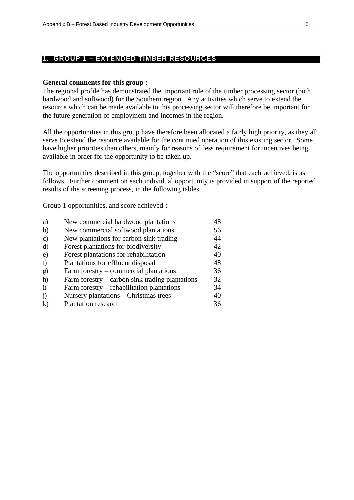#### **1. GROUP 1 – EXTENDED TIMBER RESOURCES**

#### **General comments for this group :**

The regional profile has demonstrated the important role of the timber processing sector (both hardwood and softwood) for the Southern region. Any activities which serve to extend the resource which can be made available to this processing sector will therefore be important for the future generation of employment and incomes in the region.

All the opportunities in this group have therefore been allocated a fairly high priority, as they all serve to extend the resource available for the continued operation of this existing sector. Some have higher priorities than others, mainly for reasons of less requirement for incentives being available in order for the opportunity to be taken up.

The opportunities described in this group, together with the "score" that each achieved, is as follows. Further comment on each individual opportunity is provided in support of the reported results of the screening process, in the following tables.

Group 1 opportunities, and score achieved :

| a)            | New commercial hardwood plantations               | 48 |
|---------------|---------------------------------------------------|----|
| $\mathbf{b}$  | New commercial softwood plantations               | 56 |
| $\mathcal{C}$ | New plantations for carbon sink trading           | 44 |
| d)            | Forest plantations for biodiversity               | 42 |
| e)            | Forest plantations for rehabilitation             | 40 |
| $\mathbf{f}$  | Plantations for effluent disposal                 | 48 |
| $\mathbf{g}$  | Farm forestry – commercial plantations            | 36 |
| h)            | Farm forestry $-$ carbon sink trading plantations | 32 |
| $\ddot{1}$    | Farm forestry – rehabilitation plantations        | 34 |
| $\ddot{1}$    | Nursery plantations – Christmas trees             | 40 |
| $\bf k$       | <b>Plantation research</b>                        | 36 |
|               |                                                   |    |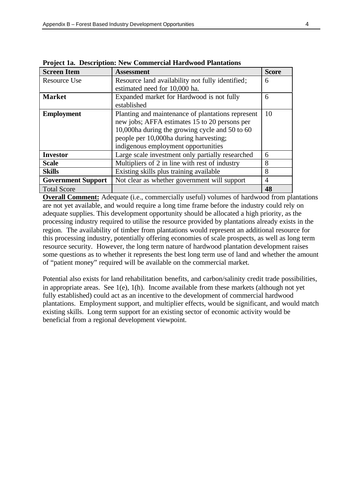| <b>Screen Item</b>        | <b>Assessment</b>                                 | <b>Score</b>   |
|---------------------------|---------------------------------------------------|----------------|
| <b>Resource Use</b>       | Resource land availability not fully identified;  | 6              |
|                           | estimated need for 10,000 ha.                     |                |
| <b>Market</b>             | Expanded market for Hardwood is not fully         | 6              |
|                           | established                                       |                |
| <b>Employment</b>         | Planting and maintenance of plantations represent | 10             |
|                           | new jobs; AFFA estimates 15 to 20 persons per     |                |
|                           | 10,000ha during the growing cycle and 50 to 60    |                |
|                           | people per 10,000ha during harvesting;            |                |
|                           | indigenous employment opportunities               |                |
| <b>Investor</b>           | Large scale investment only partially researched  | 6              |
| <b>Scale</b>              | Multipliers of 2 in line with rest of industry    | 8              |
| <b>Skills</b>             | Existing skills plus training available           | 8              |
| <b>Government Support</b> | Not clear as whether government will support      | $\overline{4}$ |
| <b>Total Score</b>        |                                                   | 48             |

**Project 1a. Description: New Commercial Hardwood Plantations**

**Overall Comment:** Adequate (i.e., commercially useful) volumes of hardwood from plantations are not yet available, and would require a long time frame before the industry could rely on adequate supplies. This development opportunity should be allocated a high priority, as the processing industry required to utilise the resource provided by plantations already exists in the region. The availability of timber from plantations would represent an additional resource for this processing industry, potentially offering economies of scale prospects, as well as long term resource security. However, the long term nature of hardwood plantation development raises some questions as to whether it represents the best long term use of land and whether the amount of "patient money" required will be available on the commercial market.

Potential also exists for land rehabilitation benefits, and carbon/salinity credit trade possibilities, in appropriate areas. See 1(e), 1(h). Income available from these markets (although not yet fully established) could act as an incentive to the development of commercial hardwood plantations. Employment support, and multiplier effects, would be significant, and would match existing skills. Long term support for an existing sector of economic activity would be beneficial from a regional development viewpoint.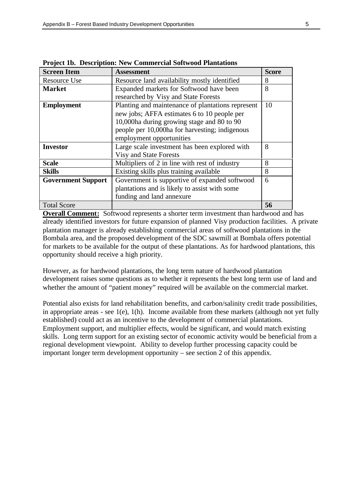| <b>Screen Item</b>        | Assessment                                        | <b>Score</b> |
|---------------------------|---------------------------------------------------|--------------|
| Resource Use              | Resource land availability mostly identified      | 8            |
| <b>Market</b>             | Expanded markets for Softwood have been           | 8            |
|                           | researched by Visy and State Forests              |              |
| <b>Employment</b>         | Planting and maintenance of plantations represent | 10           |
|                           | new jobs; AFFA estimates 6 to 10 people per       |              |
|                           | 10,000 ha during growing stage and 80 to 90       |              |
|                           | people per 10,000ha for harvesting; indigenous    |              |
|                           | employment opportunities                          |              |
| <b>Investor</b>           | Large scale investment has been explored with     | 8            |
|                           | <b>Visy and State Forests</b>                     |              |
| <b>Scale</b>              | Multipliers of 2 in line with rest of industry    | 8            |
| <b>Skills</b>             | Existing skills plus training available           | 8            |
| <b>Government Support</b> | Government is supportive of expanded softwood     | 6            |
|                           | plantations and is likely to assist with some     |              |
|                           | funding and land annexure                         |              |
| <b>Total Score</b>        |                                                   | 56           |

**Project 1b. Description: New Commercial Softwood Plantations**

**Overall Comment:** Softwood represents a shorter term investment than hardwood and has already identified investors for future expansion of planned Visy production facilities. A private plantation manager is already establishing commercial areas of softwood plantations in the Bombala area, and the proposed development of the SDC sawmill at Bombala offers potential for markets to be available for the output of these plantations. As for hardwood plantations, this opportunity should receive a high priority.

However, as for hardwood plantations, the long term nature of hardwood plantation development raises some questions as to whether it represents the best long term use of land and whether the amount of "patient money" required will be available on the commercial market.

Potential also exists for land rehabilitation benefits, and carbon/salinity credit trade possibilities, in appropriate areas - see  $1(e)$ ,  $1(h)$ . Income available from these markets (although not yet fully established) could act as an incentive to the development of commercial plantations. Employment support, and multiplier effects, would be significant, and would match existing skills. Long term support for an existing sector of economic activity would be beneficial from a regional development viewpoint. Ability to develop further processing capacity could be important longer term development opportunity – see section 2 of this appendix.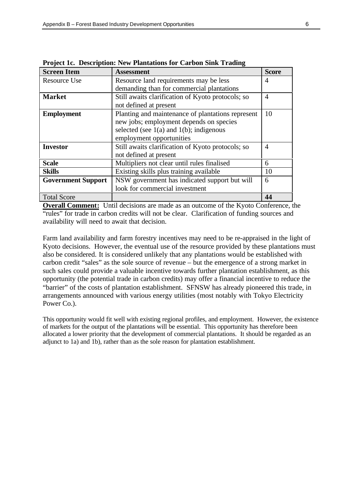| <b>Screen Item</b>        | <b>Assessment</b>                                 | <b>Score</b>   |
|---------------------------|---------------------------------------------------|----------------|
| <b>Resource Use</b>       | Resource land requirements may be less            | 4              |
|                           | demanding than for commercial plantations         |                |
| <b>Market</b>             | Still awaits clarification of Kyoto protocols; so | $\overline{A}$ |
|                           | not defined at present                            |                |
| <b>Employment</b>         | Planting and maintenance of plantations represent | 10             |
|                           | new jobs; employment depends on species           |                |
|                           | selected (see $1(a)$ and $1(b)$ ; indigenous      |                |
|                           | employment opportunities                          |                |
| <b>Investor</b>           | Still awaits clarification of Kyoto protocols; so | 4              |
|                           | not defined at present                            |                |
| <b>Scale</b>              | Multipliers not clear until rules finalised       | 6              |
| <b>Skills</b>             | Existing skills plus training available           | 10             |
| <b>Government Support</b> | NSW government has indicated support but will     | 6              |
|                           | look for commercial investment                    |                |
| <b>Total Score</b>        |                                                   | 44             |

**Project 1c. Description: New Plantations for Carbon Sink Trading**

**Overall Comment:** Until decisions are made as an outcome of the Kyoto Conference, the "rules" for trade in carbon credits will not be clear. Clarification of funding sources and availability will need to await that decision.

Farm land availability and farm forestry incentives may need to be re-appraised in the light of Kyoto decisions. However, the eventual use of the resource provided by these plantations must also be considered. It is considered unlikely that any plantations would be established with carbon credit "sales" as the sole source of revenue – but the emergence of a strong market in such sales could provide a valuable incentive towards further plantation establishment, as this opportunity (the potential trade in carbon credits) may offer a financial incentive to reduce the "barrier" of the costs of plantation establishment. SFNSW has already pioneered this trade, in arrangements announced with various energy utilities (most notably with Tokyo Electricity Power Co.).

This opportunity would fit well with existing regional profiles, and employment. However, the existence of markets for the output of the plantations will be essential. This opportunity has therefore been allocated a lower priority that the development of commercial plantations. It should be regarded as an adjunct to 1a) and 1b), rather than as the sole reason for plantation establishment.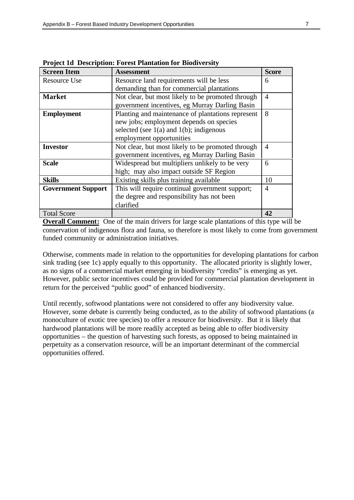| <b>Screen Item</b>        | <b>Assessment</b>                                 | <b>Score</b>   |
|---------------------------|---------------------------------------------------|----------------|
| <b>Resource Use</b>       | Resource land requirements will be less           | 6              |
|                           | demanding than for commercial plantations         |                |
| <b>Market</b>             | Not clear, but most likely to be promoted through | $\overline{A}$ |
|                           | government incentives, eg Murray Darling Basin    |                |
| <b>Employment</b>         | Planting and maintenance of plantations represent | 8              |
|                           | new jobs; employment depends on species           |                |
|                           | selected (see $1(a)$ and $1(b)$ ; indigenous      |                |
|                           | employment opportunities                          |                |
| <b>Investor</b>           | Not clear, but most likely to be promoted through | $\overline{A}$ |
|                           | government incentives, eg Murray Darling Basin    |                |
| <b>Scale</b>              | Widespread but multipliers unlikely to be very    | 6              |
|                           | high; may also impact outside SF Region           |                |
| <b>Skills</b>             | Existing skills plus training available           | 10             |
| <b>Government Support</b> | This will require continual government support;   | 4              |
|                           | the degree and responsibility has not been        |                |
|                           | clarified                                         |                |
| <b>Total Score</b>        |                                                   | 42             |

**Project 1d Description: Forest Plantation for Biodiversity**

**Overall Comment:** One of the main drivers for large scale plantations of this type will be conservation of indigenous flora and fauna, so therefore is most likely to come from government funded community or administration initiatives.

Otherwise, comments made in relation to the opportunities for developing plantations for carbon sink trading (see 1c) apply equally to this opportunity. The allocated priority is slightly lower, as no signs of a commercial market emerging in biodiversity "credits" is emerging as yet. However, public sector incentives could be provided for commercial plantation development in return for the perceived "public good" of enhanced biodiversity.

Until recently, softwood plantations were not considered to offer any biodiversity value. However, some debate is currently being conducted, as to the ability of softwood plantations (a monoculture of exotic tree species) to offer a resource for biodiversity. But it is likely that hardwood plantations will be more readily accepted as being able to offer biodiversity opportunities – the question of harvesting such forests, as opposed to being maintained in perpetuity as a conservation resource, will be an important determinant of the commercial opportunities offered.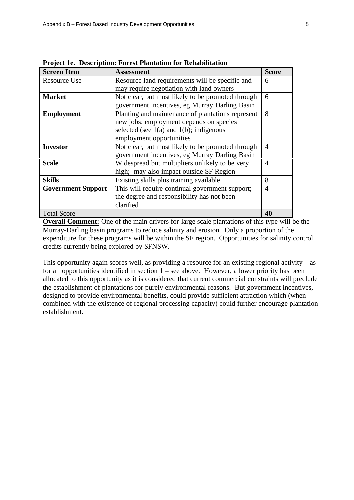| <b>Screen Item</b>        | <b>Assessment</b>                                 | <b>Score</b>   |
|---------------------------|---------------------------------------------------|----------------|
| <b>Resource Use</b>       | Resource land requirements will be specific and   | 6              |
|                           | may require negotiation with land owners          |                |
| <b>Market</b>             | Not clear, but most likely to be promoted through | 6              |
|                           | government incentives, eg Murray Darling Basin    |                |
| <b>Employment</b>         | Planting and maintenance of plantations represent | 8              |
|                           | new jobs; employment depends on species           |                |
|                           | selected (see $1(a)$ and $1(b)$ ; indigenous      |                |
|                           | employment opportunities                          |                |
| <b>Investor</b>           | Not clear, but most likely to be promoted through | $\overline{4}$ |
|                           | government incentives, eg Murray Darling Basin    |                |
| <b>Scale</b>              | Widespread but multipliers unlikely to be very    | $\overline{4}$ |
|                           | high; may also impact outside SF Region           |                |
| <b>Skills</b>             | Existing skills plus training available           | 8              |
| <b>Government Support</b> | This will require continual government support;   | $\overline{4}$ |
|                           | the degree and responsibility has not been        |                |
|                           | clarified                                         |                |
| <b>Total Score</b>        |                                                   | 40             |

**Project 1e. Description: Forest Plantation for Rehabilitation**

**Overall Comment:** One of the main drivers for large scale plantations of this type will be the Murray-Darling basin programs to reduce salinity and erosion. Only a proportion of the expenditure for these programs will be within the SF region. Opportunities for salinity control credits currently being explored by SFNSW.

This opportunity again scores well, as providing a resource for an existing regional activity  $-$  as for all opportunities identified in section  $1 -$  see above. However, a lower priority has been allocated to this opportunity as it is considered that current commercial constraints will preclude the establishment of plantations for purely environmental reasons. But government incentives, designed to provide environmental benefits, could provide sufficient attraction which (when combined with the existence of regional processing capacity) could further encourage plantation establishment.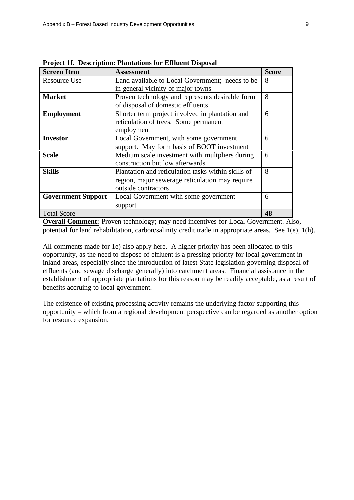| <b>Screen Item</b>        | <b>Assessment</b>                                  | <b>Score</b> |
|---------------------------|----------------------------------------------------|--------------|
| <b>Resource Use</b>       | Land available to Local Government; needs to be    | 8            |
|                           | in general vicinity of major towns                 |              |
| <b>Market</b>             | Proven technology and represents desirable form    | 8            |
|                           | of disposal of domestic effluents                  |              |
| <b>Employment</b>         | Shorter term project involved in plantation and    | 6            |
|                           | reticulation of trees. Some permanent              |              |
|                           | employment                                         |              |
| <b>Investor</b>           | Local Government, with some government             | 6            |
|                           | support. May form basis of BOOT investment         |              |
| <b>Scale</b>              | Medium scale investment with multpliers during     | 6            |
|                           | construction but low afterwards                    |              |
| <b>Skills</b>             | Plantation and reticulation tasks within skills of | 8            |
|                           | region, major sewerage reticulation may require    |              |
|                           | outside contractors                                |              |
| <b>Government Support</b> | Local Government with some government              | 6            |
|                           | support                                            |              |
| <b>Total Score</b>        |                                                    | 48           |

**Project 1f. Description: Plantations for Effluent Disposal**

**Overall Comment:** Proven technology; may need incentives for Local Government. Also, potential for land rehabilitation, carbon/salinity credit trade in appropriate areas. See 1(e), 1(h).

All comments made for 1e) also apply here. A higher priority has been allocated to this opportunity, as the need to dispose of effluent is a pressing priority for local government in inland areas, especially since the introduction of latest State legislation governing disposal of effluents (and sewage discharge generally) into catchment areas. Financial assistance in the establishment of appropriate plantations for this reason may be readily acceptable, as a result of benefits accruing to local government.

The existence of existing processing activity remains the underlying factor supporting this opportunity – which from a regional development perspective can be regarded as another option for resource expansion.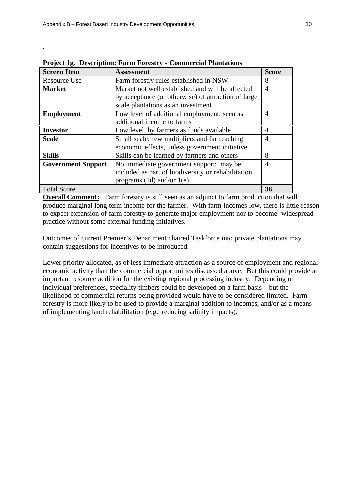.

| <b>Screen Item</b>        | <b>Assessment</b>                                   | <b>Score</b>   |
|---------------------------|-----------------------------------------------------|----------------|
| Resource Use              | Farm forestry rules established in NSW              | 8              |
| <b>Market</b>             | Market not well established and will be affected    | 4              |
|                           | by acceptance (or otherwise) of attraction of large |                |
|                           | scale plantations as an investment                  |                |
| <b>Employment</b>         | Low level of additional employment; seen as         | 4              |
|                           | additional income to farms                          |                |
| <b>Investor</b>           | Low level, by farmers as funds available            | 4              |
| <b>Scale</b>              | Small scale; few multipliers and far reaching       | $\overline{4}$ |
|                           | economic effects, unless government initiative      |                |
| <b>Skills</b>             | Skills can be learned by farmers and others         | 8              |
| <b>Government Support</b> | No immediate government support; may be             | $\overline{A}$ |
|                           | included as part of biodiversity or rehabilitation  |                |
|                           | programs $(1d)$ and/or $1(e)$ .                     |                |
| <b>Total Score</b>        |                                                     | 36             |

|  |  | Project 1g. Description: Farm Forestry - Commercial Plantations |  |
|--|--|-----------------------------------------------------------------|--|
|  |  |                                                                 |  |

**Overall Comment:** Farm forestry is still seen as an adjunct to farm production that will produce marginal long term income for the farmer. With farm incomes low, there is little reason to expect expansion of farm forestry to generate major employment nor to become widespread practice without some external funding initiatives.

Outcomes of current Premier's Department chaired Taskforce into private plantations may contain suggestions for incentives to be introduced.

Lower priority allocated, as of less immediate attraction as a source of employment and regional economic activity than the commercial opportunities discussed above. But this could provide an important resource addition for the existing regional processing industry. Depending on individual preferences, speciality timbers could be developed on a farm basis – but the likelihood of commercial returns being provided would have to be considered limited. Farm forestry is more likely to be used to provide a marginal addition to incomes, and/or as a means of implementing land rehabilitation (e.g., reducing salinity impacts).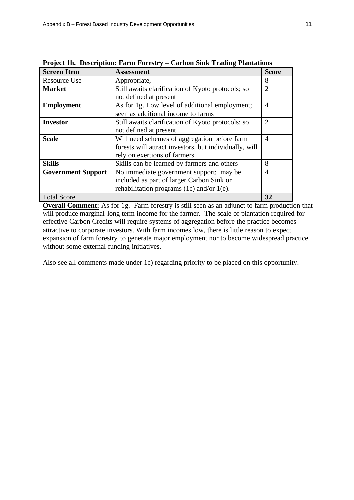| <b>Screen Item</b>        | <b>Assessment</b>                                      | <b>Score</b>   |
|---------------------------|--------------------------------------------------------|----------------|
| <b>Resource Use</b>       | Appropriate,                                           | 8              |
| <b>Market</b>             | Still awaits clarification of Kyoto protocols; so      | $\overline{2}$ |
|                           | not defined at present                                 |                |
| <b>Employment</b>         | As for 1g. Low level of additional employment;         | $\overline{4}$ |
|                           | seen as additional income to farms                     |                |
| <b>Investor</b>           | Still awaits clarification of Kyoto protocols; so      | $\overline{2}$ |
|                           | not defined at present                                 |                |
| <b>Scale</b>              | Will need schemes of aggregation before farm           | 4              |
|                           | forests will attract investors, but individually, will |                |
|                           | rely on exertions of farmers                           |                |
| <b>Skills</b>             | Skills can be learned by farmers and others            | 8              |
| <b>Government Support</b> | No immediate government support; may be                | $\overline{4}$ |
|                           | included as part of larger Carbon Sink or              |                |
|                           | rehabilitation programs (1c) and/or 1(e).              |                |
| <b>Total Score</b>        |                                                        | 32             |

**Project 1h. Description: Farm Forestry – Carbon Sink Trading Plantations**

**Overall Comment:** As for 1g. Farm forestry is still seen as an adjunct to farm production that will produce marginal long term income for the farmer. The scale of plantation required for effective Carbon Credits will require systems of aggregation before the practice becomes attractive to corporate investors. With farm incomes low, there is little reason to expect expansion of farm forestry to generate major employment nor to become widespread practice without some external funding initiatives.

Also see all comments made under 1c) regarding priority to be placed on this opportunity.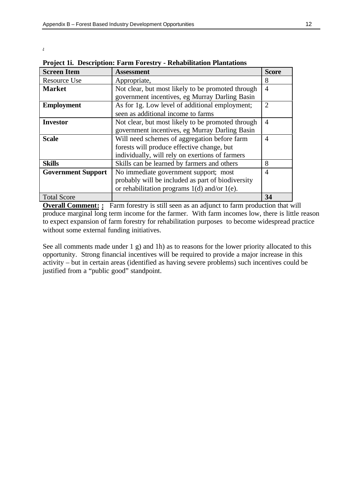.

| <b>Screen Item</b>        | <b>Assessment</b>                                 | <b>Score</b>   |
|---------------------------|---------------------------------------------------|----------------|
| <b>Resource Use</b>       | Appropriate,                                      | 8              |
| <b>Market</b>             | Not clear, but most likely to be promoted through | $\overline{4}$ |
|                           | government incentives, eg Murray Darling Basin    |                |
| <b>Employment</b>         | As for 1g. Low level of additional employment;    | 2              |
|                           | seen as additional income to farms                |                |
| <b>Investor</b>           | Not clear, but most likely to be promoted through | 4              |
|                           | government incentives, eg Murray Darling Basin    |                |
| <b>Scale</b>              | Will need schemes of aggregation before farm      | $\overline{4}$ |
|                           | forests will produce effective change, but        |                |
|                           | individually, will rely on exertions of farmers   |                |
| <b>Skills</b>             | Skills can be learned by farmers and others       | 8              |
| <b>Government Support</b> | No immediate government support; most             | 4              |
|                           | probably will be included as part of biodiversity |                |
|                           | or rehabilitation programs $1(d)$ and/or $1(e)$ . |                |
| <b>Total Score</b>        |                                                   | 34             |

**Project 1i. Description: Farm Forestry - Rehabilitation Plantations**

**Overall Comment: :** Farm forestry is still seen as an adjunct to farm production that will produce marginal long term income for the farmer. With farm incomes low, there is little reason to expect expansion of farm forestry for rehabilitation purposes to become widespread practice without some external funding initiatives.

See all comments made under 1 g) and 1h) as to reasons for the lower priority allocated to this opportunity. Strong financial incentives will be required to provide a major increase in this activity – but in certain areas (identified as having severe problems) such incentives could be justified from a "public good" standpoint.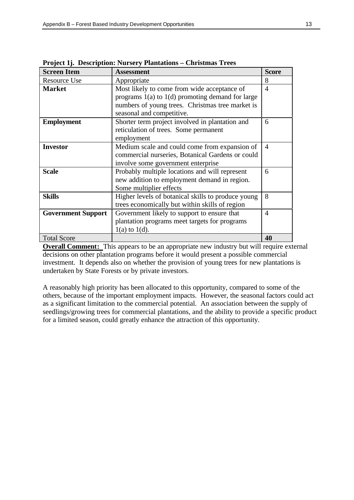| <b>Screen Item</b>        | <b>Assessment</b>                                    | <b>Score</b>   |
|---------------------------|------------------------------------------------------|----------------|
| <b>Resource Use</b>       | Appropriate                                          | 8              |
| <b>Market</b>             | Most likely to come from wide acceptance of          | $\overline{4}$ |
|                           | programs $1(a)$ to $1(d)$ promoting demand for large |                |
|                           | numbers of young trees. Christmas tree market is     |                |
|                           | seasonal and competitive.                            |                |
| <b>Employment</b>         | Shorter term project involved in plantation and      | 6              |
|                           | reticulation of trees. Some permanent                |                |
|                           | employment                                           |                |
| <b>Investor</b>           | Medium scale and could come from expansion of        | 4              |
|                           | commercial nurseries, Botanical Gardens or could     |                |
|                           | involve some government enterprise                   |                |
| <b>Scale</b>              | Probably multiple locations and will represent       | 6              |
|                           | new addition to employment demand in region.         |                |
|                           | Some multiplier effects                              |                |
| <b>Skills</b>             | Higher levels of botanical skills to produce young   | 8              |
|                           | trees economically but within skills of region       |                |
| <b>Government Support</b> | Government likely to support to ensure that          | 4              |
|                           | plantation programs meet targets for programs        |                |
|                           | $1(a)$ to $1(d)$ .                                   |                |
| <b>Total Score</b>        |                                                      | 40             |

**Project 1j. Description: Nursery Plantations – Christmas Trees**

**Overall Comment:** This appears to be an appropriate new industry but will require external decisions on other plantation programs before it would present a possible commercial investment. It depends also on whether the provision of young trees for new plantations is undertaken by State Forests or by private investors.

A reasonably high priority has been allocated to this opportunity, compared to some of the others, because of the important employment impacts. However, the seasonal factors could act as a significant limitation to the commercial potential. An association between the supply of seedlings/growing trees for commercial plantations, and the ability to provide a specific product for a limited season, could greatly enhance the attraction of this opportunity.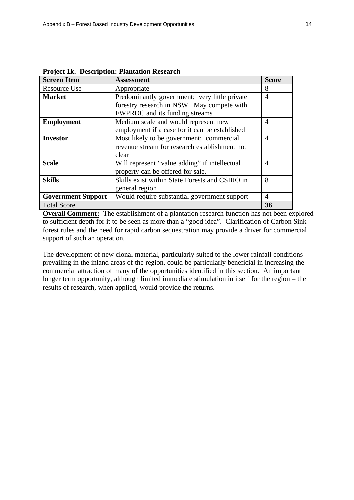| <b>Screen Item</b>        | <b>Assessment</b>                              | <b>Score</b>   |
|---------------------------|------------------------------------------------|----------------|
| <b>Resource Use</b>       | Appropriate                                    | 8              |
| <b>Market</b>             | Predominantly government; very little private  | $\overline{4}$ |
|                           | forestry research in NSW. May compete with     |                |
|                           | FWPRDC and its funding streams                 |                |
| <b>Employment</b>         | Medium scale and would represent new           | 4              |
|                           | employment if a case for it can be established |                |
| <b>Investor</b>           | Most likely to be government; commercial       | $\overline{4}$ |
|                           | revenue stream for research establishment not  |                |
|                           | clear                                          |                |
| <b>Scale</b>              | Will represent "value adding" if intellectual  | $\overline{4}$ |
|                           | property can be offered for sale.              |                |
| <b>Skills</b>             | Skills exist within State Forests and CSIRO in | 8              |
|                           | general region                                 |                |
| <b>Government Support</b> | Would require substantial government support   | 4              |
| <b>Total Score</b>        |                                                | 36             |

**Project 1k. Description: Plantation Research**

**Overall Comment:** The establishment of a plantation research function has not been explored to sufficient depth for it to be seen as more than a "good idea". Clarification of Carbon Sink forest rules and the need for rapid carbon sequestration may provide a driver for commercial support of such an operation.

The development of new clonal material, particularly suited to the lower rainfall conditions prevailing in the inland areas of the region, could be particularly beneficial in increasing the commercial attraction of many of the opportunities identified in this section. An important longer term opportunity, although limited immediate stimulation in itself for the region – the results of research, when applied, would provide the returns.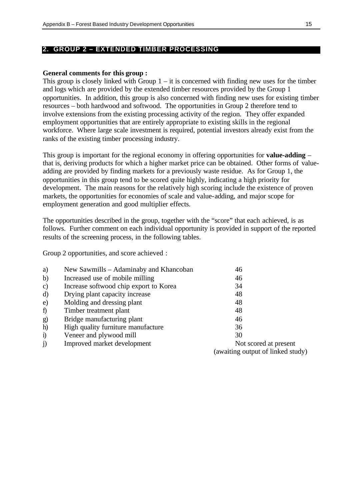#### **2. GROUP 2 – EXTENDED TIMBER PROCESSING**

#### **General comments for this group :**

This group is closely linked with Group  $1 - it$  is concerned with finding new uses for the timber and logs which are provided by the extended timber resources provided by the Group 1 opportunities. In addition, this group is also concerned with finding new uses for existing timber resources – both hardwood and softwood. The opportunities in Group 2 therefore tend to involve extensions from the existing processing activity of the region. They offer expanded employment opportunities that are entirely appropriate to existing skills in the regional workforce. Where large scale investment is required, potential investors already exist from the ranks of the existing timber processing industry.

This group is important for the regional economy in offering opportunities for **value-adding** – that is, deriving products for which a higher market price can be obtained. Other forms of valueadding are provided by finding markets for a previously waste residue. As for Group 1, the opportunities in this group tend to be scored quite highly, indicating a high priority for development. The main reasons for the relatively high scoring include the existence of proven markets, the opportunities for economies of scale and value-adding, and major scope for employment generation and good multiplier effects.

The opportunities described in the group, together with the "score" that each achieved, is as follows. Further comment on each individual opportunity is provided in support of the reported results of the screening process, in the following tables.

Group 2 opportunities, and score achieved :

| a)            | New Sawmills - Adaminaby and Khancoban | 46                                                         |
|---------------|----------------------------------------|------------------------------------------------------------|
| b)            | Increased use of mobile milling        | 46                                                         |
| $\mathbf{c})$ | Increase softwood chip export to Korea | 34                                                         |
| d)            | Drying plant capacity increase         | 48                                                         |
| e)            | Molding and dressing plant             | 48                                                         |
| $\mathbf f$   | Timber treatment plant                 | 48                                                         |
| g)            | Bridge manufacturing plant             | 46                                                         |
| h)            | High quality furniture manufacture     | 36                                                         |
| $\ddot{1}$    | Veneer and plywood mill                | 30                                                         |
| $\ddot{1}$    | Improved market development            | Not scored at present<br>(awaiting output of linked study) |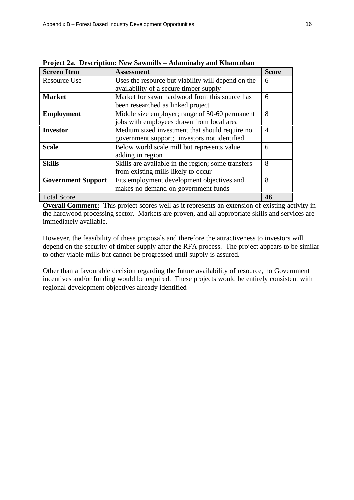| <b>Screen Item</b>        | <b>Assessment</b>                                  | <b>Score</b>   |
|---------------------------|----------------------------------------------------|----------------|
| <b>Resource Use</b>       | Uses the resource but viability will depend on the | 6              |
|                           | availability of a secure timber supply             |                |
| <b>Market</b>             | Market for sawn hardwood from this source has      | 6              |
|                           | been researched as linked project                  |                |
| <b>Employment</b>         | Middle size employer; range of 50-60 permanent     | 8              |
|                           | jobs with employees drawn from local area          |                |
| <b>Investor</b>           | Medium sized investment that should require no     | $\overline{A}$ |
|                           | government support; investors not identified       |                |
| <b>Scale</b>              | Below world scale mill but represents value        | 6              |
|                           | adding in region                                   |                |
| <b>Skills</b>             | Skills are available in the region; some transfers | 8              |
|                           | from existing mills likely to occur                |                |
| <b>Government Support</b> | Fits employment development objectives and         | 8              |
|                           | makes no demand on government funds                |                |
| <b>Total Score</b>        |                                                    | 46             |

**Project 2a. Description: New Sawmills – Adaminaby and Khancoban**

**Overall Comment:** This project scores well as it represents an extension of existing activity in the hardwood processing sector. Markets are proven, and all appropriate skills and services are immediately available.

However, the feasibility of these proposals and therefore the attractiveness to investors will depend on the security of timber supply after the RFA process. The project appears to be similar to other viable mills but cannot be progressed until supply is assured.

Other than a favourable decision regarding the future availability of resource, no Government incentives and/or funding would be required. These projects would be entirely consistent with regional development objectives already identified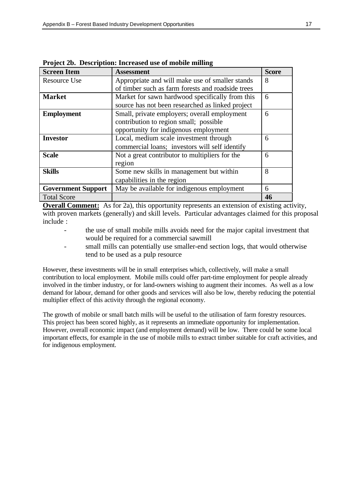| <b>Screen Item</b>        | <b>Assessment</b>                                 | <b>Score</b> |  |
|---------------------------|---------------------------------------------------|--------------|--|
| <b>Resource Use</b>       | Appropriate and will make use of smaller stands   | 8            |  |
|                           | of timber such as farm forests and roadside trees |              |  |
| <b>Market</b>             | Market for sawn hardwood specifically from this   | 6            |  |
|                           | source has not been researched as linked project  |              |  |
| <b>Employment</b>         | Small, private employers; overall employment      | 6            |  |
|                           | contribution to region small; possible            |              |  |
|                           | opportunity for indigenous employment             |              |  |
| <b>Investor</b>           | Local, medium scale investment through            | 6            |  |
|                           | commercial loans; investors will self identify    |              |  |
| <b>Scale</b>              | Not a great contributor to multipliers for the    | 6            |  |
|                           | region                                            |              |  |
| <b>Skills</b>             | Some new skills in management but within          | 8            |  |
|                           | capabilities in the region                        |              |  |
| <b>Government Support</b> | May be available for indigenous employment        | 6            |  |
| <b>Total Score</b>        |                                                   | 46           |  |

**Project 2b. Description: Increased use of mobile milling**

**Overall Comment:** As for 2a), this opportunity represents an extension of existing activity, with proven markets (generally) and skill levels. Particular advantages claimed for this proposal include :

- the use of small mobile mills avoids need for the major capital investment that would be required for a commercial sawmill
	- small mills can potentially use smaller-end section logs, that would otherwise tend to be used as a pulp resource

However, these investments will be in small enterprises which, collectively, will make a small contribution to local employment. Mobile mills could offer part-time employment for people already involved in the timber industry, or for land-owners wishing to augment their incomes. As well as a low demand for labour, demand for other goods and services will also be low, thereby reducing the potential multiplier effect of this activity through the regional economy.

The growth of mobile or small batch mills will be useful to the utilisation of farm forestry resources. This project has been scored highly, as it represents an immediate opportunity for implementation. However, overall economic impact (and employment demand) will be low. There could be some local important effects, for example in the use of mobile mills to extract timber suitable for craft activities, and for indigenous employment.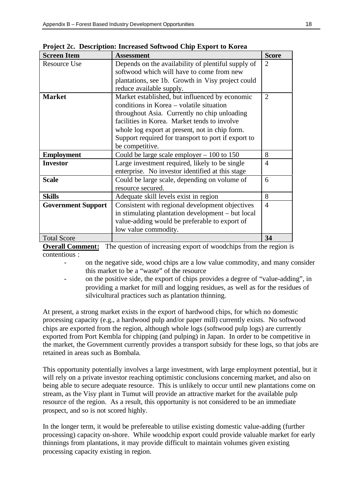| <b>Screen Item</b>        | <b>Assessment</b>                                   | <b>Score</b>                |
|---------------------------|-----------------------------------------------------|-----------------------------|
| <b>Resource Use</b>       | Depends on the availability of plentiful supply of  | $\mathcal{D}_{\mathcal{L}}$ |
|                           | softwood which will have to come from new           |                             |
|                           | plantations, see 1b. Growth in Visy project could   |                             |
|                           | reduce available supply.                            |                             |
| <b>Market</b>             | Market established, but influenced by economic      | $\mathcal{D}_{\cdot}$       |
|                           | conditions in Korea – volatile situation            |                             |
|                           | throughout Asia. Currently no chip unloading        |                             |
|                           | facilities in Korea. Market tends to involve        |                             |
|                           | whole log export at present, not in chip form.      |                             |
|                           | Support required for transport to port if export to |                             |
|                           | be competitive.                                     |                             |
| <b>Employment</b>         | Could be large scale employer $-100$ to 150         | 8                           |
| <b>Investor</b>           | Large investment required, likely to be single      | $\overline{4}$              |
|                           | enterprise. No investor identified at this stage    |                             |
| <b>Scale</b>              | Could be large scale, depending on volume of        | 6                           |
|                           | resource secured.                                   |                             |
| <b>Skills</b>             | Adequate skill levels exist in region               | 8                           |
| <b>Government Support</b> | Consistent with regional development objectives     | 4                           |
|                           | in stimulating plantation development – but local   |                             |
|                           | value-adding would be preferable to export of       |                             |
|                           | low value commodity.                                |                             |
| <b>Total Score</b>        |                                                     | 34                          |

**Project 2c. Description: Increased Softwood Chip Export to Korea**

**Overall Comment:** The question of increasing export of woodchips from the region is contentious :

- on the negative side, wood chips are a low value commodity, and many consider this market to be a "waste" of the resource
- on the positive side, the export of chips provides a degree of "value-adding", in providing a market for mill and logging residues, as well as for the residues of silvicultural practices such as plantation thinning.

At present, a strong market exists in the export of hardwood chips, for which no domestic processing capacity (e.g., a hardwood pulp and/or paper mill) currently exists. No softwood chips are exported from the region, although whole logs (softwood pulp logs) are currently exported from Port Kembla for chipping (and pulping) in Japan. In order to be competitive in the market, the Government currently provides a transport subsidy for these logs, so that jobs are retained in areas such as Bombala.

This opportunity potentially involves a large investment, with large employment potential, but it will rely on a private investor reaching optimistic conclusions concerning market, and also on being able to secure adequate resource. This is unlikely to occur until new plantations come on stream, as the Visy plant in Tumut will provide an attractive market for the available pulp resource of the region. As a result, this opportunity is not considered to be an immediate prospect, and so is not scored highly.

In the longer term, it would be prefereable to utilise existing domestic value-adding (further processing) capacity on-shore. While woodchip export could provide valuable market for early thinnings from plantations, it may provide difficult to maintain volumes given existing processing capacity existing in region.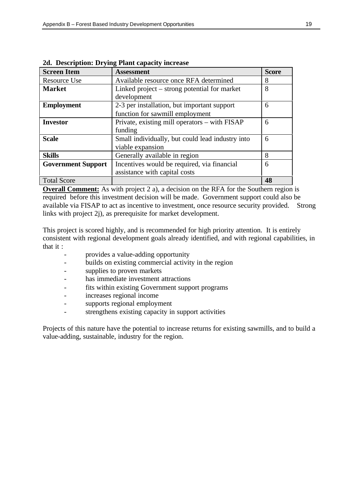| <b>Screen Item</b>        | <b>Assessment</b>                                | <b>Score</b> |
|---------------------------|--------------------------------------------------|--------------|
| <b>Resource Use</b>       | Available resource once RFA determined           | 8            |
| <b>Market</b>             | Linked project – strong potential for market     | 8            |
|                           | development                                      |              |
| <b>Employment</b>         | 2-3 per installation, but important support      | 6            |
|                           | function for sawmill employment                  |              |
| <b>Investor</b>           | Private, existing mill operators – with FISAP    | 6            |
|                           | funding                                          |              |
| <b>Scale</b>              | Small individually, but could lead industry into | 6            |
|                           | viable expansion                                 |              |
| <b>Skills</b>             | Generally available in region                    | 8            |
| <b>Government Support</b> | Incentives would be required, via financial      | 6            |
|                           | assistance with capital costs                    |              |
| <b>Total Score</b>        |                                                  | 48           |

|  | 2d. Description: Drying Plant capacity increase |  |  |  |  |
|--|-------------------------------------------------|--|--|--|--|
|--|-------------------------------------------------|--|--|--|--|

**Overall Comment:** As with project 2 a), a decision on the RFA for the Southern region is required before this investment decision will be made. Government support could also be available via FISAP to act as incentive to investment, once resource security provided. Strong links with project 2j), as prerequisite for market development.

This project is scored highly, and is recommended for high priority attention. It is entirely consistent with regional development goals already identified, and with regional capabilities, in that it :

- provides a value-adding opportunity
- builds on existing commercial activity in the region
- supplies to proven markets
- has immediate investment attractions
- fits within existing Government support programs
- increases regional income
- supports regional employment
- strengthens existing capacity in support activities

Projects of this nature have the potential to increase returns for existing sawmills, and to build a value-adding, sustainable, industry for the region.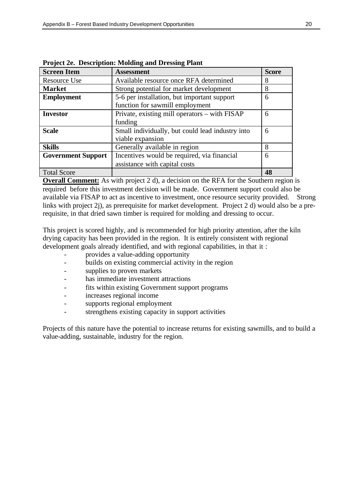| <b>Screen Item</b>        | <b>Assessment</b>                                | <b>Score</b> |
|---------------------------|--------------------------------------------------|--------------|
| Resource Use              | Available resource once RFA determined           | 8            |
| <b>Market</b>             | Strong potential for market development          | 8            |
| <b>Employment</b>         | 5-6 per installation, but important support      | 6            |
|                           | function for sawmill employment                  |              |
| <b>Investor</b>           | Private, existing mill operators – with FISAP    | 6            |
|                           | funding                                          |              |
| <b>Scale</b>              | Small individually, but could lead industry into | 6            |
|                           | viable expansion                                 |              |
| <b>Skills</b>             | Generally available in region                    | 8            |
| <b>Government Support</b> | Incentives would be required, via financial      | 6            |
|                           | assistance with capital costs                    |              |
| <b>Total Score</b>        |                                                  | 48           |

**Project 2e. Description: Molding and Dressing Plant**

**Overall Comment:** As with project 2 d), a decision on the RFA for the Southern region is required before this investment decision will be made. Government support could also be available via FISAP to act as incentive to investment, once resource security provided. Strong links with project 2j), as prerequisite for market development. Project 2 d) would also be a prerequisite, in that dried sawn timber is required for molding and dressing to occur.

This project is scored highly, and is recommended for high priority attention, after the kiln drying capacity has been provided in the region. It is entirely consistent with regional development goals already identified, and with regional capabilities, in that it :

- provides a value-adding opportunity
- builds on existing commercial activity in the region
- supplies to proven markets
- has immediate investment attractions
- fits within existing Government support programs
- increases regional income
- supports regional employment
- strengthens existing capacity in support activities

Projects of this nature have the potential to increase returns for existing sawmills, and to build a value-adding, sustainable, industry for the region.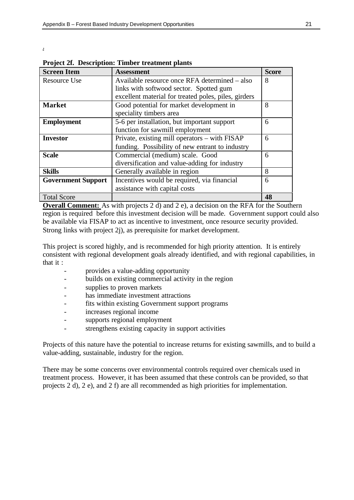| $\sim$ |  |
|--------|--|
|        |  |

| <b>Screen Item</b>        | <b>Assessment</b>                                    | <b>Score</b> |
|---------------------------|------------------------------------------------------|--------------|
| <b>Resource Use</b>       | Available resource once RFA determined – also        | 8            |
|                           | links with softwood sector. Spotted gum              |              |
|                           | excellent material for treated poles, piles, girders |              |
| <b>Market</b>             | Good potential for market development in             | 8            |
|                           | speciality timbers area                              |              |
| <b>Employment</b>         | 5-6 per installation, but important support          | 6            |
|                           | function for sawmill employment                      |              |
| <b>Investor</b>           | Private, existing mill operators – with FISAP        | 6            |
|                           | funding. Possibility of new entrant to industry      |              |
| <b>Scale</b>              | Commercial (medium) scale. Good                      | 6            |
|                           | diversification and value-adding for industry        |              |
| <b>Skills</b>             | Generally available in region                        | 8            |
| <b>Government Support</b> | Incentives would be required, via financial          | 6            |
|                           | assistance with capital costs                        |              |
| <b>Total Score</b>        |                                                      | 48           |

**Project 2f. Description: Timber treatment plants**

**Overall Comment:** As with projects 2 d) and 2 e), a decision on the RFA for the Southern region is required before this investment decision will be made. Government support could also be available via FISAP to act as incentive to investment, once resource security provided. Strong links with project 2j), as prerequisite for market development.

This project is scored highly, and is recommended for high priority attention. It is entirely consistent with regional development goals already identified, and with regional capabilities, in that it :

- provides a value-adding opportunity
- builds on existing commercial activity in the region
- supplies to proven markets
- has immediate investment attractions
- fits within existing Government support programs
- increases regional income
- supports regional employment
- strengthens existing capacity in support activities

Projects of this nature have the potential to increase returns for existing sawmills, and to build a value-adding, sustainable, industry for the region.

There may be some concerns over environmental controls required over chemicals used in treatment process. However, it has been assumed that these controls can be provided, so that projects 2 d), 2 e), and 2 f) are all recommended as high priorities for implementation.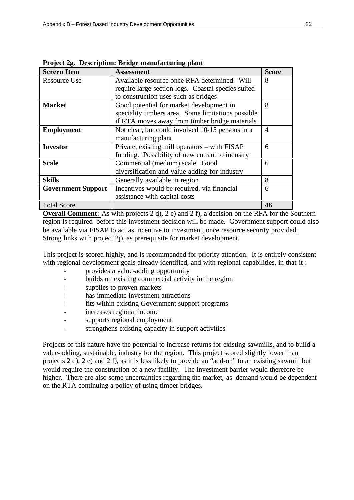| <b>Screen Item</b>        | <b>Assessment</b>                                  | <b>Score</b> |
|---------------------------|----------------------------------------------------|--------------|
| Resource Use              | Available resource once RFA determined. Will       | 8            |
|                           | require large section logs. Coastal species suited |              |
|                           | to construction uses such as bridges               |              |
| <b>Market</b>             | Good potential for market development in           | 8            |
|                           | speciality timbers area. Some limitations possible |              |
|                           | if RTA moves away from timber bridge materials     |              |
| <b>Employment</b>         | Not clear, but could involved 10-15 persons in a   | 4            |
|                           | manufacturing plant                                |              |
| <b>Investor</b>           | Private, existing mill operators – with FISAP      | 6            |
|                           | funding. Possibility of new entrant to industry    |              |
| <b>Scale</b>              | Commercial (medium) scale. Good                    | 6            |
|                           | diversification and value-adding for industry      |              |
| <b>Skills</b>             | Generally available in region                      | 8            |
| <b>Government Support</b> | Incentives would be required, via financial        | 6            |
|                           | assistance with capital costs                      |              |
| <b>Total Score</b>        |                                                    | 46           |

**Project 2g. Description: Bridge manufacturing plant**

**Overall Comment:** As with projects 2 d), 2 e) and 2 f), a decision on the RFA for the Southern region is required before this investment decision will be made. Government support could also be available via FISAP to act as incentive to investment, once resource security provided. Strong links with project 2j), as prerequisite for market development.

This project is scored highly, and is recommended for priority attention. It is entirely consistent with regional development goals already identified, and with regional capabilities, in that it:

- provides a value-adding opportunity
- builds on existing commercial activity in the region
- supplies to proven markets
- has immediate investment attractions
- fits within existing Government support programs
- increases regional income
- supports regional employment
- strengthens existing capacity in support activities

Projects of this nature have the potential to increase returns for existing sawmills, and to build a value-adding, sustainable, industry for the region. This project scored slightly lower than projects 2 d), 2 e) and 2 f), as it is less likely to provide an "add-on" to an existing sawmill but would require the construction of a new facility. The investment barrier would therefore be higher. There are also some uncertainties regarding the market, as demand would be dependent on the RTA continuing a policy of using timber bridges.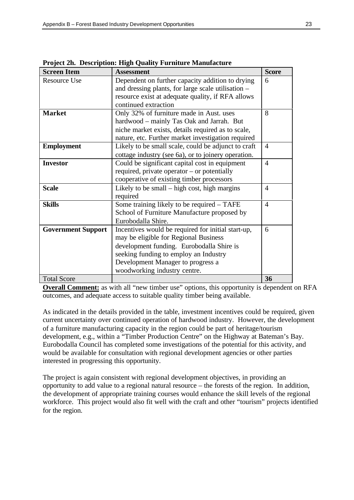| <b>Screen Item</b>        | <b>Assessment</b>                                   | <b>Score</b> |
|---------------------------|-----------------------------------------------------|--------------|
| <b>Resource Use</b>       | Dependent on further capacity addition to drying    | 6            |
|                           | and dressing plants, for large scale utilisation –  |              |
|                           | resource exist at adequate quality, if RFA allows   |              |
|                           | continued extraction                                |              |
| <b>Market</b>             | Only 32% of furniture made in Aust. uses            | 8            |
|                           | hardwood - mainly Tas Oak and Jarrah. But           |              |
|                           | niche market exists, details required as to scale,  |              |
|                           | nature, etc. Further market investigation required  |              |
| <b>Employment</b>         | Likely to be small scale, could be adjunct to craft | 4            |
|                           | cottage industry (see 6a), or to joinery operation. |              |
| <b>Investor</b>           | Could be significant capital cost in equipment      | 4            |
|                           | required, private operator – or potentially         |              |
|                           | cooperative of existing timber processors           |              |
| <b>Scale</b>              | Likely to be small $-$ high cost, high margins      | 4            |
|                           | required                                            |              |
| <b>Skills</b>             | Some training likely to be required – TAFE          | 4            |
|                           | School of Furniture Manufacture proposed by         |              |
|                           | Eurobodalla Shire.                                  |              |
| <b>Government Support</b> | Incentives would be required for initial start-up,  | 6            |
|                           | may be eligible for Regional Business               |              |
|                           | development funding. Eurobodalla Shire is           |              |
|                           | seeking funding to employ an Industry               |              |
|                           | Development Manager to progress a                   |              |
|                           | woodworking industry centre.                        |              |
| <b>Total Score</b>        |                                                     | 36           |

**Project 2h. Description: High Quality Furniture Manufacture**

**Overall Comment:** as with all "new timber use" options, this opportunity is dependent on RFA outcomes, and adequate access to suitable quality timber being available.

As indicated in the details provided in the table, investment incentives could be required, given current uncertainty over continued operation of hardwood industry. However, the development of a furniture manufacturing capacity in the region could be part of heritage/tourism development, e.g., within a "Timber Production Centre" on the Highway at Bateman's Bay. Eurobodalla Council has completed some investigations of the potential for this activity, and would be available for consultation with regional development agencies or other parties interested in progressing this opportunity.

The project is again consistent with regional development objectives, in providing an opportunity to add value to a regional natural resource – the forests of the region. In addition, the development of appropriate training courses would enhance the skill levels of the regional workforce. This project would also fit well with the craft and other "tourism" projects identified for the region.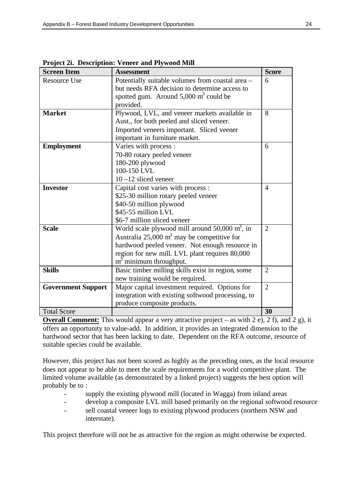| <b>Screen Item</b>        | <b>Assessment</b>                                         | <b>Score</b>   |
|---------------------------|-----------------------------------------------------------|----------------|
| <b>Resource Use</b>       | Potentially suitable volumes from coastal area -          | 6              |
|                           | but needs RFA decision to determine access to             |                |
|                           | spotted gum. Around $5,000 \text{ m}^3$ could be          |                |
|                           | provided.                                                 |                |
| <b>Market</b>             | Plywood, LVL, and veneer markets available in             | 8              |
|                           | Aust., for both peeled and sliced veneer.                 |                |
|                           | Imported veneers important. Sliced veener                 |                |
|                           | important in furniture market.                            |                |
| <b>Employment</b>         | Varies with process :                                     | 6              |
|                           | 70-80 rotary peeled veneer                                |                |
|                           | 180-200 plywood                                           |                |
|                           | 100-150 LVL                                               |                |
|                           | $10 - 12$ sliced veneer                                   |                |
| <b>Investor</b>           | Capital cost varies with process :                        | $\overline{4}$ |
|                           | \$25-30 million rotary peeled veneer                      |                |
|                           | \$40-50 million plywood                                   |                |
|                           | \$45-55 million LVL                                       |                |
|                           | \$6-7 million sliced veneer                               |                |
| <b>Scale</b>              | World scale plywood mill around $50,000 \text{ m}^3$ , in | $\overline{2}$ |
|                           | Australia 25,000 $m3$ may be competitive for              |                |
|                           | hardwood peeled veneer. Not enough resource in            |                |
|                           | region for new mill. LVL plant requires 80,000            |                |
|                           | m <sup>3</sup> minimum throughput.                        |                |
| <b>Skills</b>             | Basic timber milling skills exist in region, some         | $\overline{2}$ |
|                           | new training would be required.                           |                |
| <b>Government Support</b> | Major capital investment required. Options for            | $\overline{2}$ |
|                           | integration with existing softwood processing, to         |                |
|                           | produce composite products.                               |                |
| <b>Total Score</b>        |                                                           | 30             |

**Project 2i. Description: Veneer and Plywood Mill**

**Overall Comment:** This would appear a very attractive project – as with 2 e), 2 f), and 2 g), it offers an opportunity to value-add. In addition, it provides an integrated dimension to the hardwood sector that has been lacking to date. Dependent on the RFA outcome, resource of suitable species could be available.

However, this project has not been scored as highly as the preceding ones, as the local resource does not appear to be able to meet the scale requirements for a world competitive plant. The limited volume available (as demonstrated by a linked project) suggests the best option will probably be to :

- supply the existing plywood mill (located in Wagga) from inland areas
- develop a composite LVL mill based primarily on the regional softwood resource
- sell coastal veneer logs to existing plywood producers (northern NSW and interstate).

This project therefore will not be as attractive for the region as might otherwise be expected.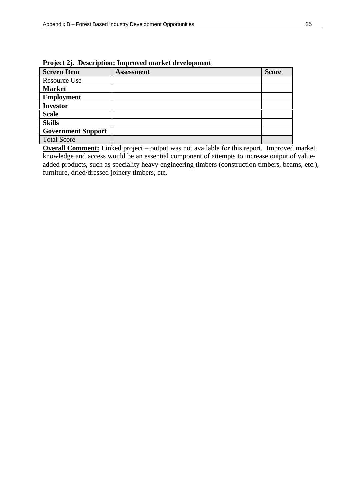| <b>Screen Item</b>        | <b>Assessment</b> | <b>Score</b> |
|---------------------------|-------------------|--------------|
| Resource Use              |                   |              |
| <b>Market</b>             |                   |              |
| <b>Employment</b>         |                   |              |
| <b>Investor</b>           |                   |              |
| <b>Scale</b>              |                   |              |
| <b>Skills</b>             |                   |              |
| <b>Government Support</b> |                   |              |
| <b>Total Score</b>        |                   |              |

**Project 2j. Description: Improved market development**

**Overall Comment:** Linked project – output was not available for this report. Improved market knowledge and access would be an essential component of attempts to increase output of valueadded products, such as speciality heavy engineering timbers (construction timbers, beams, etc.), furniture, dried/dressed joinery timbers, etc.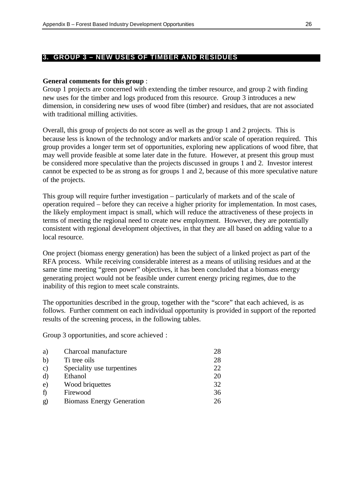#### **3. GROUP 3 – NEW USES OF TIMBER AND RESIDUES**

#### **General comments for this group** :

Group 1 projects are concerned with extending the timber resource, and group 2 with finding new uses for the timber and logs produced from this resource. Group 3 introduces a new dimension, in considering new uses of wood fibre (timber) and residues, that are not associated with traditional milling activities.

Overall, this group of projects do not score as well as the group 1 and 2 projects. This is because less is known of the technology and/or markets and/or scale of operation required. This group provides a longer term set of opportunities, exploring new applications of wood fibre, that may well provide feasible at some later date in the future. However, at present this group must be considered more speculative than the projects discussed in groups 1 and 2. Investor interest cannot be expected to be as strong as for groups 1 and 2, because of this more speculative nature of the projects.

This group will require further investigation – particularly of markets and of the scale of operation required – before they can receive a higher priority for implementation. In most cases, the likely employment impact is small, which will reduce the attractiveness of these projects in terms of meeting the regional need to create new employment. However, they are potentially consistent with regional development objectives, in that they are all based on adding value to a local resource.

One project (biomass energy generation) has been the subject of a linked project as part of the RFA process. While receiving considerable interest as a means of utilising residues and at the same time meeting "green power" objectives, it has been concluded that a biomass energy generating project would not be feasible under current energy pricing regimes, due to the inability of this region to meet scale constraints.

The opportunities described in the group, together with the "score" that each achieved, is as follows. Further comment on each individual opportunity is provided in support of the reported results of the screening process, in the following tables.

Group 3 opportunities, and score achieved :

| a)            | Charcoal manufacture             | 28 |
|---------------|----------------------------------|----|
| b)            | Ti tree oils                     | 28 |
| $\mathbf{c})$ | Speciality use turpentines       | 22 |
| $\rm d$       | Ethanol                          | 20 |
| $\epsilon$ )  | Wood briquettes                  | 32 |
| $\hat{I}$     | Firewood                         | 36 |
| $\mathbf{g}$  | <b>Biomass Energy Generation</b> | 26 |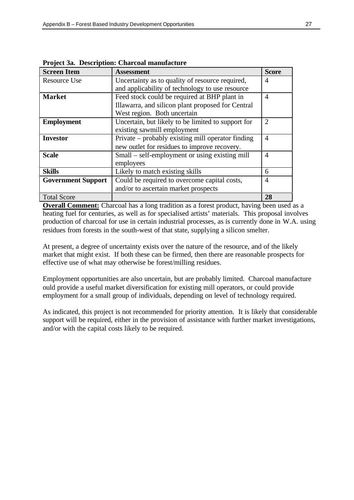| <b>Screen Item</b>        | <b>Assessment</b>                                  | <b>Score</b>                |
|---------------------------|----------------------------------------------------|-----------------------------|
| Resource Use              | Uncertainty as to quality of resource required,    | 4                           |
|                           | and applicability of technology to use resource    |                             |
| <b>Market</b>             | Feed stock could be required at BHP plant in       | $\overline{4}$              |
|                           | Illawarra, and silicon plant proposed for Central  |                             |
|                           | West region. Both uncertain                        |                             |
| <b>Employment</b>         | Uncertain, but likely to be limited to support for | $\mathcal{D}_{\mathcal{L}}$ |
|                           | existing sawmill employment                        |                             |
| <b>Investor</b>           | Private – probably existing mill operator finding  | 4                           |
|                           | new outlet for residues to improve recovery.       |                             |
| <b>Scale</b>              | Small – self-employment or using existing mill     | 4                           |
|                           | employees                                          |                             |
| <b>Skills</b>             | Likely to match existing skills                    | 6                           |
| <b>Government Support</b> | Could be required to overcome capital costs,       | 4                           |
|                           | and/or to ascertain market prospects               |                             |
| <b>Total Score</b>        |                                                    | 28                          |

**Project 3a. Description: Charcoal manufacture**

**Overall Comment:** Charcoal has a long tradition as a forest product, having been used as a heating fuel for centuries, as well as for specialised artists' materials. This proposal involves production of charcoal for use in certain industrial processes, as is currently done in W.A. using residues from forests in the south-west of that state, supplying a silicon smelter.

At present, a degree of uncertainty exists over the nature of the resource, and of the likely market that might exist. If both these can be firmed, then there are reasonable prospects for effective use of what may otherwise be forest/milling residues.

Employment opportunities are also uncertain, but are probably limited. Charcoal manufacture ould provide a useful market diversification for existing mill operators, or could provide employment for a small group of individuals, depending on level of technology required.

As indicated, this project is not recommended for priority attention. It is likely that considerable support will be required, either in the provision of assistance with further market investigations, and/or with the capital costs likely to be required.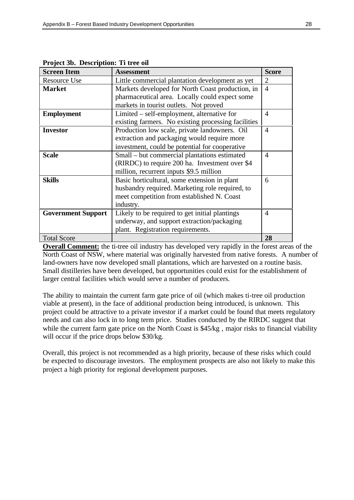| птојество: векиприош. н. и се оп<br><b>Screen Item</b> | <b>Assessment</b>                                   | <b>Score</b>   |
|--------------------------------------------------------|-----------------------------------------------------|----------------|
| Resource Use                                           | Little commercial plantation development as yet     | $\overline{2}$ |
| <b>Market</b>                                          | Markets developed for North Coast production, in    | $\overline{4}$ |
|                                                        | pharmaceutical area. Locally could expect some      |                |
|                                                        | markets in tourist outlets. Not proved              |                |
| <b>Employment</b>                                      | Limited – self-employment, alternative for          | 4              |
|                                                        | existing farmers. No existing processing facilities |                |
| <b>Investor</b>                                        | Production low scale, private landowners. Oil       | 4              |
|                                                        | extraction and packaging would require more         |                |
|                                                        | investment, could be potential for cooperative      |                |
| <b>Scale</b>                                           | Small – but commercial plantations estimated        | 4              |
|                                                        | (RIRDC) to require 200 ha. Investment over \$4      |                |
|                                                        | million, recurrent inputs \$9.5 million             |                |
| <b>Skills</b>                                          | Basic horticultural, some extension in plant        | 6              |
|                                                        | husbandry required. Marketing role required, to     |                |
|                                                        | meet competition from established N. Coast          |                |
|                                                        | industry.                                           |                |
| <b>Government Support</b>                              | Likely to be required to get initial plantings      | 4              |
|                                                        | underway, and support extraction/packaging          |                |
|                                                        | plant. Registration requirements.                   |                |
| <b>Total Score</b>                                     |                                                     | 28             |

**Project 3b. Description: Ti tree oil**

**Overall Comment:** the ti-tree oil industry has developed very rapidly in the forest areas of the North Coast of NSW, where material was originally harvested from native forests. A number of land-owners have now developed small plantations, which are harvested on a routine basis. Small distilleries have been developed, but opportunities could exist for the establishment of larger central facilities which would serve a number of producers.

The ability to maintain the current farm gate price of oil (which makes ti-tree oil production viable at present), in the face of additional production being introduced, is unknown. This project could be attractive to a private investor if a market could be found that meets regulatory needs and can also lock in to long term price. Studies conducted by the RIRDC suggest that while the current farm gate price on the North Coast is \$45/kg, major risks to financial viability will occur if the price drops below \$30/kg.

Overall, this project is not recommended as a high priority, because of these risks which could be expected to discourage investors. The employment prospects are also not likely to make this project a high priority for regional development purposes.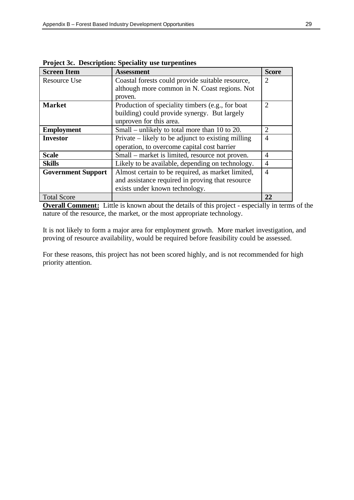| <b>Screen Item</b>        | <b>Assessment</b>                                  | <b>Score</b>                |
|---------------------------|----------------------------------------------------|-----------------------------|
| <b>Resource Use</b>       | Coastal forests could provide suitable resource,   | $\overline{2}$              |
|                           | although more common in N. Coast regions. Not      |                             |
|                           | proven.                                            |                             |
| <b>Market</b>             | Production of speciality timbers (e.g., for boat   | $\overline{2}$              |
|                           | building) could provide synergy. But largely       |                             |
|                           | unproven for this area.                            |                             |
| <b>Employment</b>         | Small – unlikely to total more than 10 to 20.      | $\mathcal{D}_{\mathcal{L}}$ |
| <b>Investor</b>           | Private – likely to be adjunct to existing milling | 4                           |
|                           | operation, to overcome capital cost barrier        |                             |
| <b>Scale</b>              | Small – market is limited, resource not proven.    | 4                           |
| <b>Skills</b>             | Likely to be available, depending on technology.   | 4                           |
| <b>Government Support</b> | Almost certain to be required, as market limited,  | 4                           |
|                           | and assistance required in proving that resource   |                             |
|                           | exists under known technology.                     |                             |
| <b>Total Score</b>        |                                                    | 22                          |

**Project 3c. Description: Speciality use turpentines**

**Overall Comment:** Little is known about the details of this project - especially in terms of the nature of the resource, the market, or the most appropriate technology.

It is not likely to form a major area for employment growth. More market investigation, and proving of resource availability, would be required before feasibility could be assessed.

For these reasons, this project has not been scored highly, and is not recommended for high priority attention.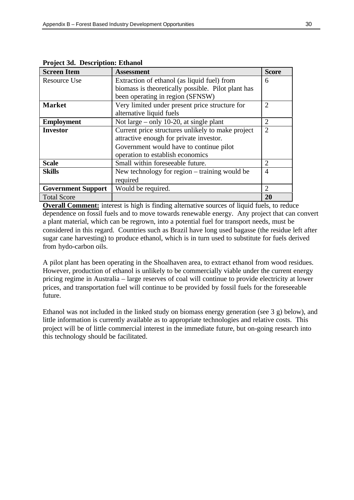| <b>Screen Item</b>        | <b>Assessment</b>                                  | <b>Score</b>          |
|---------------------------|----------------------------------------------------|-----------------------|
| <b>Resource Use</b>       | Extraction of ethanol (as liquid fuel) from        | 6                     |
|                           | biomass is theoretically possible. Pilot plant has |                       |
|                           | been operating in region (SFNSW)                   |                       |
| <b>Market</b>             | Very limited under present price structure for     | 2                     |
|                           | alternative liquid fuels                           |                       |
| <b>Employment</b>         | Not large $-$ only 10-20, at single plant          | 2                     |
| <b>Investor</b>           | Current price structures unlikely to make project  | $\overline{2}$        |
|                           | attractive enough for private investor.            |                       |
|                           | Government would have to continue pilot            |                       |
|                           | operation to establish economics                   |                       |
| <b>Scale</b>              | Small within foreseeable future.                   | 2                     |
| <b>Skills</b>             | New technology for region - training would be      | 4                     |
|                           | required                                           |                       |
| <b>Government Support</b> | Would be required.                                 | $\mathcal{D}_{\cdot}$ |
| <b>Total Score</b>        |                                                    | 20                    |

**Project 3d. Description: Ethanol**

**Overall Comment:** interest is high is finding alternative sources of liquid fuels, to reduce dependence on fossil fuels and to move towards renewable energy. Any project that can convert a plant material, which can be regrown, into a potential fuel for transport needs, must be considered in this regard. Countries such as Brazil have long used bagasse (the residue left after sugar cane harvesting) to produce ethanol, which is in turn used to substitute for fuels derived from hydo-carbon oils.

A pilot plant has been operating in the Shoalhaven area, to extract ethanol from wood residues. However, production of ethanol is unlikely to be commercially viable under the current energy pricing regime in Australia – large reserves of coal will continue to provide electricity at lower prices, and transportation fuel will continue to be provided by fossil fuels for the foreseeable future.

Ethanol was not included in the linked study on biomass energy generation (see 3 g) below), and little information is currently available as to appropriate technologies and relative costs. This project will be of little commercial interest in the immediate future, but on-going research into this technology should be facilitated.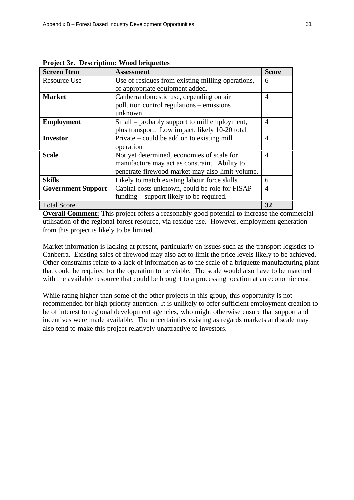| <b>Screen Item</b>        | <b>Assessment</b>                                 | <b>Score</b> |
|---------------------------|---------------------------------------------------|--------------|
| <b>Resource Use</b>       | Use of residues from existing milling operations, | 6            |
|                           | of appropriate equipment added.                   |              |
| <b>Market</b>             | Canberra domestic use, depending on air           | 4            |
|                           | pollution control regulations – emissions         |              |
|                           | unknown                                           |              |
| <b>Employment</b>         | Small – probably support to mill employment,      | 4            |
|                           | plus transport. Low impact, likely 10-20 total    |              |
| <b>Investor</b>           | Private – could be add on to existing mill        | 4            |
|                           | operation                                         |              |
| <b>Scale</b>              | Not yet determined, economies of scale for        | 4            |
|                           | manufacture may act as constraint. Ability to     |              |
|                           | penetrate firewood market may also limit volume.  |              |
| <b>Skills</b>             | Likely to match existing labour force skills      | 6            |
| <b>Government Support</b> | Capital costs unknown, could be role for FISAP    | 4            |
|                           | funding – support likely to be required.          |              |
| <b>Total Score</b>        |                                                   | 32           |

**Project 3e. Description: Wood briquettes**

**Overall Comment:** This project offers a reasonably good potential to increase the commercial utilisation of the regional forest resource, via residue use. However, employment generation from this project is likely to be limited.

Market information is lacking at present, particularly on issues such as the transport logistics to Canberra. Existing sales of firewood may also act to limit the price levels likely to be achieved. Other constraints relate to a lack of information as to the scale of a briquette manufacturing plant that could be required for the operation to be viable. The scale would also have to be matched with the available resource that could be brought to a processing location at an economic cost.

While rating higher than some of the other projects in this group, this opportunity is not recommended for high priority attention. It is unlikely to offer sufficient employment creation to be of interest to regional development agencies, who might otherwise ensure that support and incentives were made available. The uncertainties existing as regards markets and scale may also tend to make this project relatively unattractive to investors.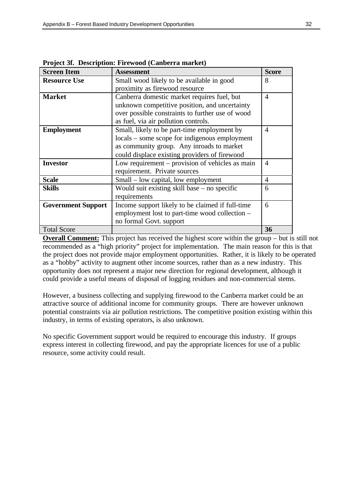| <b>Screen Item</b>        | <b>Assessment</b>                                | <b>Score</b>   |
|---------------------------|--------------------------------------------------|----------------|
| <b>Resource Use</b>       | Small wood likely to be available in good        | 8              |
|                           | proximity as firewood resource                   |                |
| <b>Market</b>             | Canberra domestic market requires fuel, but      | 4              |
|                           | unknown competitive position, and uncertainty    |                |
|                           | over possible constraints to further use of wood |                |
|                           | as fuel, via air pollution controls.             |                |
| <b>Employment</b>         | Small, likely to be part-time employment by      | $\overline{A}$ |
|                           | locals – some scope for indigenous employment    |                |
|                           | as community group. Any inroads to market        |                |
|                           | could displace existing providers of firewood    |                |
| <b>Investor</b>           | Low requirement – provision of vehicles as main  | $\overline{4}$ |
|                           | requirement. Private sources                     |                |
| <b>Scale</b>              | Small – low capital, low employment              | 4              |
| <b>Skills</b>             | Would suit existing skill base $-$ no specific   | 6              |
|                           | requirements                                     |                |
| <b>Government Support</b> | Income support likely to be claimed if full-time | 6              |
|                           | employment lost to part-time wood collection –   |                |
|                           | no formal Govt. support                          |                |
| <b>Total Score</b>        |                                                  | 36             |

**Project 3f. Description: Firewood (Canberra market)**

**Overall Comment:** This project has received the highest score within the group – but is still not recommended as a "high priority" project for implementation. The main reason for this is that the project does not provide major employment opportunities. Rather, it is likely to be operated as a "hobby" activity to augment other income sources, rather than as a new industry. This opportunity does not represent a major new direction for regional development, although it could provide a useful means of disposal of logging residues and non-commercial stems.

However, a business collecting and supplying firewood to the Canberra market could be an attractive source of additional income for community groups. There are however unknown potential constraints via air pollution restrictions. The competitive position existing within this industry, in terms of existing operators, is also unknown.

No specific Government support would be required to encourage this industry. If groups express interest in collecting firewood, and pay the appropriate licences for use of a public resource, some activity could result.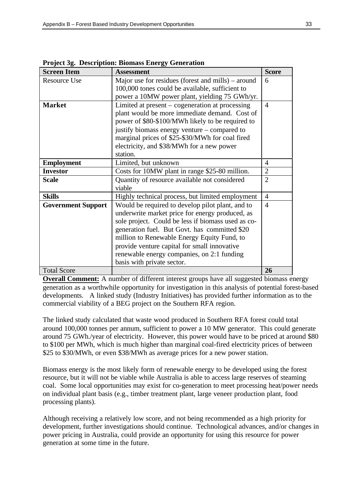| <b>Screen Item</b>        | <b>Assessment</b>                                  | <b>Score</b>   |
|---------------------------|----------------------------------------------------|----------------|
| <b>Resource Use</b>       | Major use for residues (forest and mills) – around | 6              |
|                           | 100,000 tones could be available, sufficient to    |                |
|                           | power a 10MW power plant, yielding 75 GWh/yr.      |                |
| <b>Market</b>             | Limited at present – cogeneration at processing    | $\overline{4}$ |
|                           | plant would be more immediate demand. Cost of      |                |
|                           | power of \$80-\$100/MWh likely to be required to   |                |
|                           | justify biomass energy venture – compared to       |                |
|                           | marginal prices of \$25-\$30/MWh for coal fired    |                |
|                           | electricity, and \$38/MWh for a new power          |                |
|                           | station.                                           |                |
| <b>Employment</b>         | Limited, but unknown                               | $\overline{4}$ |
| <b>Investor</b>           | Costs for 10MW plant in range \$25-80 million.     | $\overline{2}$ |
| <b>Scale</b>              | Quantity of resource available not considered      | $\overline{2}$ |
|                           | viable                                             |                |
| <b>Skills</b>             | Highly technical process, but limited employment   | $\overline{4}$ |
| <b>Government Support</b> | Would be required to develop pilot plant, and to   | $\overline{4}$ |
|                           | underwrite market price for energy produced, as    |                |
|                           | sole project. Could be less if biomass used as co- |                |
|                           | generation fuel. But Govt. has committed \$20      |                |
|                           | million to Renewable Energy Equity Fund, to        |                |
|                           | provide venture capital for small innovative       |                |
|                           | renewable energy companies, on 2:1 funding         |                |
|                           | basis with private sector.                         |                |
| <b>Total Score</b>        |                                                    | 26             |

**Project 3g. Description: Biomass Energy Generation**

**Overall Comment:** A number of different interest groups have all suggested biomass energy generation as a worthwhile opportunity for investigation in this analysis of potential forest-based developments. A linked study (Industry Initiatives) has provided further information as to the commercial viability of a BEG project on the Southern RFA region.

The linked study calculated that waste wood produced in Southern RFA forest could total around 100,000 tonnes per annum, sufficient to power a 10 MW generator. This could generate around 75 GWh./year of electricity. However, this power would have to be priced at around \$80 to \$100 per MWh, which is much higher than marginal coal-fired electricity prices of between \$25 to \$30/MWh, or even \$38/MWh as average prices for a new power station.

Biomass energy is the most likely form of renewable energy to be developed using the forest resource, but it will not be viable while Australia is able to access large reserves of steaming coal. Some local opportunities may exist for co-generation to meet processing heat/power needs on individual plant basis (e.g., timber treatment plant, large veneer production plant, food processing plants).

Although receiving a relatively low score, and not being recommended as a high priority for development, further investigations should continue. Technological advances, and/or changes in power pricing in Australia, could provide an opportunity for using this resource for power generation at some time in the future.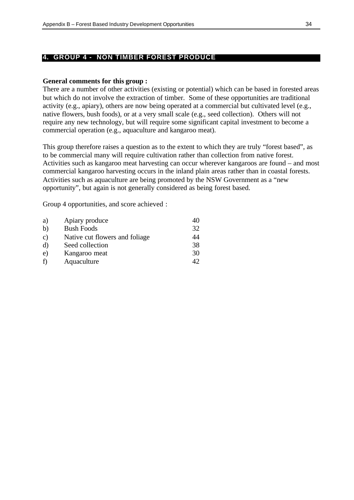#### **4. GROUP 4 - NON TIMBER FOREST PRODUCE**

#### **General comments for this group :**

There are a number of other activities (existing or potential) which can be based in forested areas but which do not involve the extraction of timber. Some of these opportunities are traditional activity (e.g., apiary), others are now being operated at a commercial but cultivated level (e.g., native flowers, bush foods), or at a very small scale (e.g., seed collection). Others will not require any new technology, but will require some significant capital investment to become a commercial operation (e.g., aquaculture and kangaroo meat).

This group therefore raises a question as to the extent to which they are truly "forest based", as to be commercial many will require cultivation rather than collection from native forest. Activities such as kangaroo meat harvesting can occur wherever kangaroos are found – and most commercial kangaroo harvesting occurs in the inland plain areas rather than in coastal forests. Activities such as aquaculture are being promoted by the NSW Government as a "new opportunity", but again is not generally considered as being forest based.

Group 4 opportunities, and score achieved :

| 40 |
|----|
| 32 |
| 44 |
| 38 |
| 30 |
| 42 |
|    |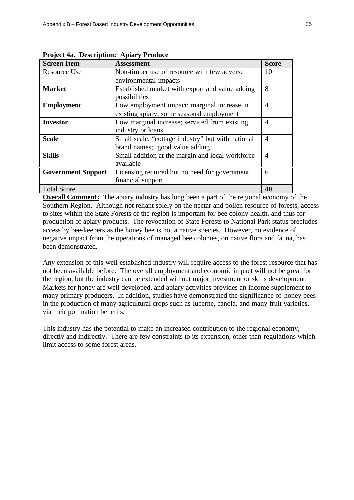| <b>Screen Item</b>        | <b>Assessment</b>                                 | <b>Score</b>   |
|---------------------------|---------------------------------------------------|----------------|
| <b>Resource Use</b>       | Non-timber use of resource with few adverse       | 10             |
|                           | environmental impacts                             |                |
| <b>Market</b>             | Established market with export and value adding   | 8              |
|                           | possibilities                                     |                |
| <b>Employment</b>         | Low employment impact; marginal increase in       | $\overline{4}$ |
|                           | existing apiary; some seasonal employment         |                |
| <b>Investor</b>           | Low marginal increase; serviced from existing     | $\overline{4}$ |
|                           | industry or loans                                 |                |
| <b>Scale</b>              | Small scale, "cottage industry" but with national | 4              |
|                           | brand names; good value adding                    |                |
| <b>Skills</b>             | Small addition at the margin and local workforce  | $\overline{4}$ |
|                           | available                                         |                |
| <b>Government Support</b> | Licensing required but no need for government     | 6              |
|                           | financial support                                 |                |
| <b>Total Score</b>        |                                                   | 40             |

**Project 4a. Description: Apiary Produce**

**Overall Comment:** The apiary industry has long been a part of the regional economy of the Southern Region. Although not reliant solely on the nectar and pollen resource of forests, access to sites within the State Forests of the region is important for bee colony health, and thus for production of apiary products. The revocation of State Forests to National Park status precludes access by bee-keepers as the honey bee is not a native species. However, no evidence of negative impact from the operations of managed bee colonies, on native flora and fauna, has been demonstrated.

Any extension of this well established industry will require access to the forest resource that has not been available before. The overall employment and economic impact will not be great for the region, but the industry can be extended without major investment or skills development. Markets for honey are well developed, and apiary activities provides an income supplement to many primary producers. In addition, studies have demonstrated the significance of honey bees in the production of many agricultural crops such as lucerne, canola, and many fruit varieties, via their pollination benefits.

This industry has the potential to make an increased contribution to the regional economy, directly and indirectly. There are few constraints to its expansion, other than regulations which limit access to some forest areas.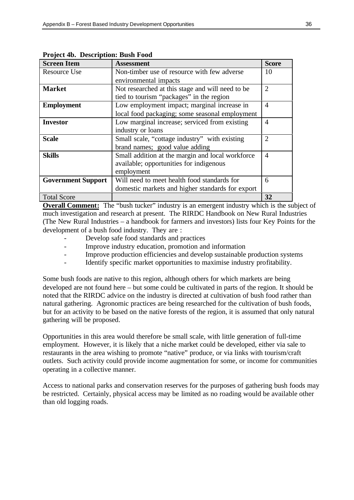| <b>Screen Item</b>        | <b>Assessment</b>                                | <b>Score</b>   |
|---------------------------|--------------------------------------------------|----------------|
| Resource Use              | Non-timber use of resource with few adverse      | 10             |
|                           | environmental impacts                            |                |
| <b>Market</b>             | Not researched at this stage and will need to be | 2              |
|                           | tied to tourism "packages" in the region         |                |
| <b>Employment</b>         | Low employment impact; marginal increase in      | $\overline{4}$ |
|                           | local food packaging; some seasonal employment   |                |
| Investor                  | Low marginal increase; serviced from existing    | $\overline{4}$ |
|                           | industry or loans                                |                |
| <b>Scale</b>              | Small scale, "cottage industry" with existing    | 2              |
|                           | brand names; good value adding                   |                |
| <b>Skills</b>             | Small addition at the margin and local workforce | 4              |
|                           | available; opportunities for indigenous          |                |
|                           | employment                                       |                |
| <b>Government Support</b> | Will need to meet health food standards for      | 6              |
|                           | domestic markets and higher standards for export |                |
| <b>Total Score</b>        |                                                  | 32             |

**Project 4b. Description: Bush Food**

**Overall Comment:** The "bush tucker" industry is an emergent industry which is the subject of much investigation and research at present. The RIRDC Handbook on New Rural Industries (The New Rural Industries – a handbook for farmers and investors) lists four Key Points for the development of a bush food industry. They are :

- Develop safe food standards and practices
- Improve industry education, promotion and information
- Improve production efficiencies and develop sustainable production systems
- Identify specific market opportunities to maximise industry profitability.

Some bush foods are native to this region, although others for which markets are being developed are not found here – but some could be cultivated in parts of the region. It should be noted that the RIRDC advice on the industry is directed at cultivation of bush food rather than natural gathering. Agronomic practices are being researched for the cultivation of bush foods, but for an activity to be based on the native forests of the region, it is assumed that only natural gathering will be proposed.

Opportunities in this area would therefore be small scale, with little generation of full-time employment. However, it is likely that a niche market could be developed, either via sale to restaurants in the area wishing to promote "native" produce, or via links with tourism/craft outlets. Such activity could provide income augmentation for some, or income for communities operating in a collective manner.

Access to national parks and conservation reserves for the purposes of gathering bush foods may be restricted. Certainly, physical access may be limited as no roading would be available other than old logging roads.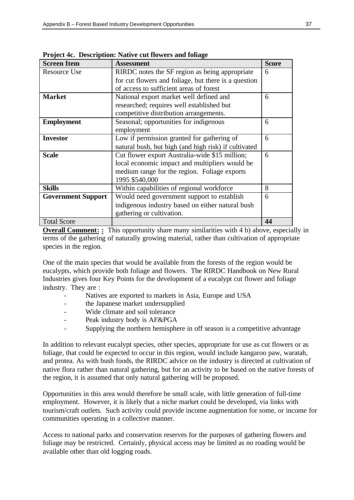| <b>Screen Item</b>        | <b>Assessment</b>                                    | <b>Score</b> |
|---------------------------|------------------------------------------------------|--------------|
| <b>Resource Use</b>       | RIRDC notes the SF region as being appropriate       | 6            |
|                           | for cut flowers and foliage, but there is a question |              |
|                           | of access to sufficient areas of forest              |              |
| <b>Market</b>             | National export market well defined and              | 6            |
|                           | researched; requires well established but            |              |
|                           | competitive distribution arrangements.               |              |
| <b>Employment</b>         | Seasonal; opportunities for indigenous               | 6            |
|                           | employment                                           |              |
| <b>Investor</b>           | Low if permission granted for gathering of           | 6            |
|                           | natural bush, but high (and high risk) if cultivated |              |
| <b>Scale</b>              | Cut flower export Australia-wide \$15 million;       | 6            |
|                           | local economic impact and multipliers would be       |              |
|                           | medium range for the region. Foliage exports         |              |
|                           | 1995 \$540,000                                       |              |
| <b>Skills</b>             | Within capabilities of regional workforce            | 8            |
| <b>Government Support</b> | Would need government support to establish           | 6            |
|                           | indigenous industry based on either natural bush     |              |
|                           | gathering or cultivation.                            |              |
| <b>Total Score</b>        |                                                      | 44           |

**Project 4c. Description: Native cut flowers and foliage**

**Overall Comment: :** This opportunity share many similarities with 4 b) above, especially in terms of the gathering of naturally growing material, rather than cultivation of appropriate species in the region.

One of the main species that would be available from the forests of the region would be eucalypts, which provide both foliage and flowers. The RIRDC Handbook on New Rural Industries gives four Key Points for the development of a eucalypt cut flower and foliage industry. They are :

- Natives are exported to markets in Asia, Europe and USA
- the Japanese market undersupplied
- Wide climate and soil tolerance
- Peak industry body is AF&PGA
- Supplying the northern hemisphere in off season is a competitive advantage

In addition to relevant eucalypt species, other species, appropriate for use as cut flowers or as foliage, that could be expected to occur in this region, would include kangaroo paw, waratah, and protea. As with bush foods, the RIRDC advice on the industry is directed at cultivation of native flora rather than natural gathering, but for an activity to be based on the native forests of the region, it is assumed that only natural gathering will be proposed.

Opportunities in this area would therefore be small scale, with little generation of full-time employment. However, it is likely that a niche market could be developed, via links with tourism/craft outlets. Such activity could provide income augmentation for some, or income for communities operating in a collective manner.

Access to national parks and conservation reserves for the purposes of gathering flowers and foliage may be restricted. Certainly, physical access may be limited as no roading would be available other than old logging roads.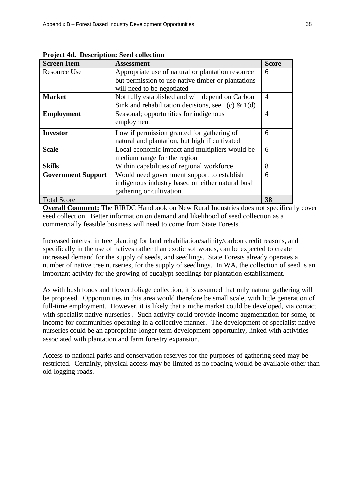| <b>Screen Item</b>        | <b>Assessment</b>                                     | <b>Score</b>   |
|---------------------------|-------------------------------------------------------|----------------|
| <b>Resource Use</b>       | Appropriate use of natural or plantation resource     | 6              |
|                           | but permission to use native timber or plantations    |                |
|                           | will need to be negotiated                            |                |
| <b>Market</b>             | Not fully established and will depend on Carbon       | $\overline{4}$ |
|                           | Sink and rehabilitation decisions, see $1(c) \& 1(d)$ |                |
| <b>Employment</b>         | Seasonal; opportunities for indigenous                | 4              |
|                           | employment                                            |                |
| <b>Investor</b>           | Low if permission granted for gathering of            | 6              |
|                           | natural and plantation, but high if cultivated        |                |
| <b>Scale</b>              | Local economic impact and multipliers would be        | 6              |
|                           | medium range for the region                           |                |
| <b>Skills</b>             | Within capabilities of regional workforce             | 8              |
| <b>Government Support</b> | Would need government support to establish            | 6              |
|                           | indigenous industry based on either natural bush      |                |
|                           | gathering or cultivation.                             |                |
| <b>Total Score</b>        |                                                       | 38             |

**Project 4d. Description: Seed collection**

**Overall Comment:** The RIRDC Handbook on New Rural Industries does not specifically cover seed collection. Better information on demand and likelihood of seed collection as a commercially feasible business will need to come from State Forests.

Increased interest in tree planting for land rehabiliation/salinity/carbon credit reasons, and specifically in the use of natives rather than exotic softwoods, can be expected to create increased demand for the supply of seeds, and seedlings. State Forests already operates a number of native tree nurseries, for the supply of seedlings. In WA, the collection of seed is an important activity for the growing of eucalypt seedlings for plantation establishment.

As with bush foods and flower.foliage collection, it is assumed that only natural gathering will be proposed. Opportunities in this area would therefore be small scale, with little generation of full-time employment. However, it is likely that a niche market could be developed, via contact with specialist native nurseries . Such activity could provide income augmentation for some, or income for communities operating in a collective manner. The development of specialist native nurseries could be an appropriate longer term development opportunity, linked with activities associated with plantation and farm forestry expansion.

Access to national parks and conservation reserves for the purposes of gathering seed may be restricted. Certainly, physical access may be limited as no roading would be available other than old logging roads.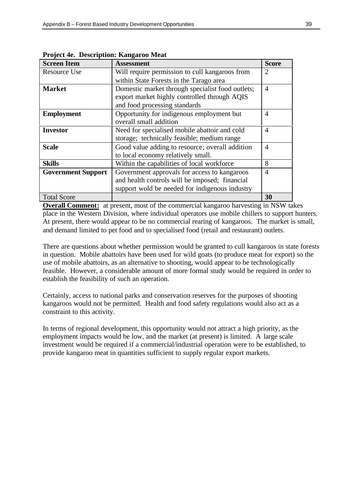| <b>Screen Item</b>        | <b>Assessment</b>                                | <b>Score</b>                |
|---------------------------|--------------------------------------------------|-----------------------------|
| <b>Resource Use</b>       | Will require permission to cull kangaroos from   | $\mathcal{D}_{\mathcal{L}}$ |
|                           | within State Forests in the Tarago area          |                             |
| <b>Market</b>             | Domestic market through specialist food outlets; | 4                           |
|                           | export market highly controlled through AQIS     |                             |
|                           | and food processing standards                    |                             |
| <b>Employment</b>         | Opportunity for indigenous employment but        | 4                           |
|                           | overall small addition                           |                             |
| <b>Investor</b>           | Need for specialised mobile abattoir and cold    | 4                           |
|                           | storage; technically feasible; medium range      |                             |
| <b>Scale</b>              | Good value adding to resource; overall addition  | 4                           |
|                           | to local economy relatively small.               |                             |
| <b>Skills</b>             | Within the capabilities of local workforce       | 8                           |
| <b>Government Support</b> | Government approvals for access to kangaroos     | 4                           |
|                           | and health controls will be imposed; financial   |                             |
|                           | support wold be needed for indigenous industry   |                             |
| <b>Total Score</b>        |                                                  | 30                          |

**Project 4e. Description: Kangaroo Meat**

**Overall Comment:** at present, most of the commercial kangaroo harvesting in NSW takes place in the Western Division, where individual operators use mobile chillers to support hunters. At present, there would appear to be no commercial rearing of kangaroos. The market is small, and demand limited to pet food and to specialised food (retail and restaurant) outlets.

There are questions about whether permission would be granted to cull kangaroos in state forests in question. Mobile abattoirs have been used for wild goats (to produce meat for export) so the use of mobile abattoirs, as an alternative to shooting, would appear to be technologically feasible. However, a considerable amount of more formal study would be required in order to establish the feasibility of such an operation.

Certainly, access to national parks and conservation reserves for the purposes of shooting kangaroos would not be permitted. Health and food safety regulations would also act as a constraint to this activity.

In terms of regional development, this opportunity would not attract a high priority, as the employment impacts would be low, and the market (at present) is limited. A large scale investment would be required if a commercial/industrial operation were to be established, to provide kangaroo meat in quantities sufficient to supply regular export markets.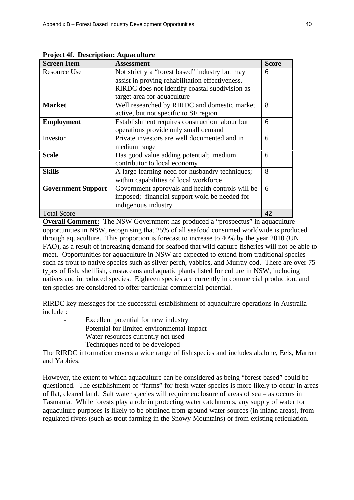| <b>Screen Item</b>        | <b>Assessment</b>                                | <b>Score</b> |
|---------------------------|--------------------------------------------------|--------------|
| <b>Resource Use</b>       | Not strictly a "forest based" industry but may   | 6            |
|                           | assist in proving rehabilitation effectiveness.  |              |
|                           | RIRDC does not identify coastal subdivision as   |              |
|                           | target area for aquaculture                      |              |
| <b>Market</b>             | Well researched by RIRDC and domestic market     | 8            |
|                           | active, but not specific to SF region            |              |
| <b>Employment</b>         | Establishment requires construction labour but   | 6            |
|                           | operations provide only small demand             |              |
| Investor                  | Private investors are well documented and in     | 6            |
|                           | medium range                                     |              |
| <b>Scale</b>              | Has good value adding potential; medium          | 6            |
|                           | contributor to local economy                     |              |
| <b>Skills</b>             | A large learning need for husbandry techniques;  | 8            |
|                           | within capabilities of local workforce           |              |
| <b>Government Support</b> | Government approvals and health controls will be | 6            |
|                           | imposed; financial support wold be needed for    |              |
|                           | indigenous industry                              |              |
| <b>Total Score</b>        |                                                  | 42           |

**Project 4f. Description: Aquaculture**

**Overall Comment:** The NSW Government has produced a "prospectus" in aquaculture opportunities in NSW, recognising that 25% of all seafood consumed worldwide is produced through aquaculture. This proportion is forecast to increase to 40% by the year 2010 (UN FAO), as a result of increasing demand for seafood that wild capture fisheries will not be able to meet. Opportunities for aquaculture in NSW are expected to extend from traditional species such as trout to native species such as silver perch, yabbies, and Murray cod. There are over 75 types of fish, shellfish, crustaceans and aquatic plants listed for culture in NSW, including natives and introduced species. Eighteen species are currently in commercial production, and ten species are considered to offer particular commercial potential.

RIRDC key messages for the successful establishment of aquaculture operations in Australia include :

- Excellent potential for new industry
- Potential for limited environmental impact
- Water resources currently not used
- Techniques need to be developed

The RIRDC information covers a wide range of fish species and includes abalone, Eels, Marron and Yabbies.

However, the extent to which aquaculture can be considered as being "forest-based" could be questioned. The establishment of "farms" for fresh water species is more likely to occur in areas of flat, cleared land. Salt water species will require enclosure of areas of sea – as occurs in Tasmania. While forests play a role in protecting water catchments, any supply of water for aquaculture purposes is likely to be obtained from ground water sources (in inland areas), from regulated rivers (such as trout farming in the Snowy Mountains) or from existing reticulation.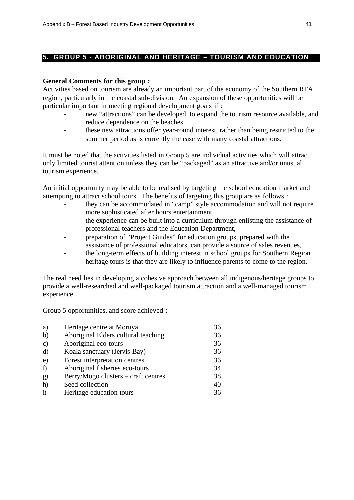#### **5. GROUP 5 - ABORIGINAL AND HERITAGE – TOURISM AND EDUCATION**

#### **General Comments for this group :**

Activities based on tourism are already an important part of the economy of the Southern RFA region, particularly in the coastal sub-division. An expansion of these opportunities will be particular important in meeting regional development goals if :

- new "attractions" can be developed, to expand the tourism resource available, and reduce dependence on the beaches
- these new attractions offer year-round interest, rather than being restricted to the summer period as is currently the case with many coastal attractions.

It must be noted that the activities listed in Group 5 are individual activities which will attract only limited tourist attention unless they can be "packaged" as an attractive and/or unusual tourism experience.

An initial opportunity may be able to be realised by targeting the school education market and attempting to attract school tours. The benefits of targeting this group are as follows :

- they can be accommodated in "camp" style accommodation and will not require more sophisticated after hours entertainment,
- the experience can be built into a curriculum through enlisting the assistance of professional teachers and the Education Department,
- preparation of "Project Guides" for education groups, prepared with the assistance of professional educators, can provide a source of sales revenues,
- the long-term effects of building interest in school groups for Southern Region heritage tours is that they are likely to influence parents to come to the region.

The real need lies in developing a cohesive approach between all indigenous/heritage groups to provide a well-researched and well-packaged tourism attraction and a well-managed tourism experience.

Group 5 opportunities, and score achieved :

| a)            | Heritage centre at Moruya           | 36 |
|---------------|-------------------------------------|----|
| b)            | Aboriginal Elders cultural teaching | 36 |
| $\mathbf{c})$ | Aboriginal eco-tours                | 36 |
| $\rm d$       | Koala sanctuary (Jervis Bay)        | 36 |
| $\mathbf{e})$ | Forest interpretation centres       | 36 |
| $\hat{I}$     | Aboriginal fisheries eco-tours      | 34 |
| g)            | Berry/Mogo clusters – craft centres | 38 |
| h)            | Seed collection                     | 40 |
| $\ddot{1}$    | Heritage education tours            | 36 |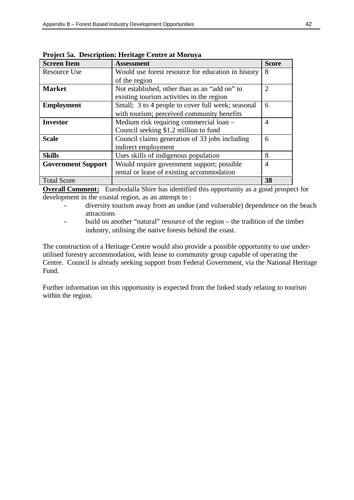| <b>Screen Item</b>        | <b>Assessment</b>                                  | <b>Score</b>   |
|---------------------------|----------------------------------------------------|----------------|
| <b>Resource Use</b>       | Would use forest resource for education in history | 8              |
|                           | of the region                                      |                |
| <b>Market</b>             | Not established, other than as an "add on" to      | 2              |
|                           | existing tourism activities in the region          |                |
| <b>Employment</b>         | Small; 3 to 4 people to cover full week; seasonal  | 6              |
|                           | with tourism; perceived community benefits         |                |
| <b>Investor</b>           | Medium risk requiring commercial loan -            | 4              |
|                           | Council seeking \$1.2 million to fund              |                |
| <b>Scale</b>              | Council claims generation of 33 jobs including     | 6              |
|                           | indirect employment                                |                |
| <b>Skills</b>             | Uses skills of indigenous population               | 8              |
| <b>Government Support</b> | Would require government support; possible         | $\overline{4}$ |
|                           | rental or lease of existing accommodation          |                |
| <b>Total Score</b>        |                                                    | 38             |

**Project 5a. Description: Heritage Centre at Moruya**

**Overall Comment:** Eurobodalla Shire has identified this opportunity as a good prospect for development in the coastal region, as an attempt to :

- diversity tourism away from an undue (and vulnerable) dependence on the beach attractions
- build on another "natural" resource of the region the tradition of the timber industry, utilising the native forests behind the coast.

The construction of a Heritage Centre would also provide a possible opportunity to use underutilised forestry accommodation, with lease to community group capable of operating the Centre. Council is already seeking support from Federal Government, via the National Heritage Fund.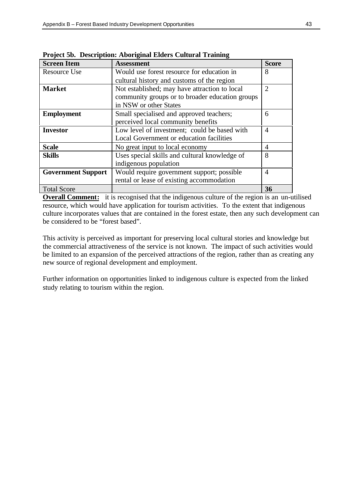| <b>Screen Item</b>        | <b>Assessment</b>                               | <b>Score</b>          |
|---------------------------|-------------------------------------------------|-----------------------|
| <b>Resource Use</b>       | Would use forest resource for education in      | 8                     |
|                           | cultural history and customs of the region      |                       |
| <b>Market</b>             | Not established; may have attraction to local   | $\mathcal{D}_{\cdot}$ |
|                           | community groups or to broader education groups |                       |
|                           | in NSW or other States                          |                       |
| <b>Employment</b>         | Small specialised and approved teachers;        | 6                     |
|                           | perceived local community benefits              |                       |
| <b>Investor</b>           | Low level of investment; could be based with    | 4                     |
|                           | Local Government or education facilities        |                       |
| <b>Scale</b>              | No great input to local economy                 | 4                     |
| <b>Skills</b>             | Uses special skills and cultural knowledge of   | 8                     |
|                           | indigenous population                           |                       |
| <b>Government Support</b> | Would require government support; possible      | 4                     |
|                           | rental or lease of existing accommodation       |                       |
| <b>Total Score</b>        |                                                 | 36                    |

**Project 5b. Description: Aboriginal Elders Cultural Training**

**Overall Comment:** it is recognised that the indigenous culture of the region is an un-utilised resource, which would have application for tourism activities. To the extent that indigenous culture incorporates values that are contained in the forest estate, then any such development can be considered to be "forest based".

This activity is perceived as important for preserving local cultural stories and knowledge but the commercial attractiveness of the service is not known. The impact of such activities would be limited to an expansion of the perceived attractions of the region, rather than as creating any new source of regional development and employment.

Further information on opportunities linked to indigenous culture is expected from the linked study relating to tourism within the region.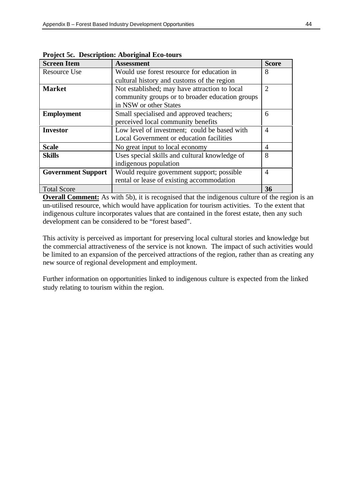| <b>Screen Item</b>        | <b>Assessment</b>                               | <b>Score</b>   |
|---------------------------|-------------------------------------------------|----------------|
| <b>Resource Use</b>       | Would use forest resource for education in      | 8              |
|                           | cultural history and customs of the region      |                |
| <b>Market</b>             | Not established; may have attraction to local   | $\overline{2}$ |
|                           | community groups or to broader education groups |                |
|                           | in NSW or other States                          |                |
| <b>Employment</b>         | Small specialised and approved teachers;        | 6              |
|                           | perceived local community benefits              |                |
| <b>Investor</b>           | Low level of investment; could be based with    | 4              |
|                           | Local Government or education facilities        |                |
| <b>Scale</b>              | No great input to local economy                 | 4              |
| <b>Skills</b>             | Uses special skills and cultural knowledge of   | 8              |
|                           | indigenous population                           |                |
| <b>Government Support</b> | Would require government support; possible      | 4              |
|                           | rental or lease of existing accommodation       |                |
| <b>Total Score</b>        |                                                 | 36             |

**Project 5c. Description: Aboriginal Eco-tours**

**Overall Comment:** As with 5b), it is recognised that the indigenous culture of the region is an un-utilised resource, which would have application for tourism activities. To the extent that indigenous culture incorporates values that are contained in the forest estate, then any such development can be considered to be "forest based".

This activity is perceived as important for preserving local cultural stories and knowledge but the commercial attractiveness of the service is not known. The impact of such activities would be limited to an expansion of the perceived attractions of the region, rather than as creating any new source of regional development and employment.

Further information on opportunities linked to indigenous culture is expected from the linked study relating to tourism within the region.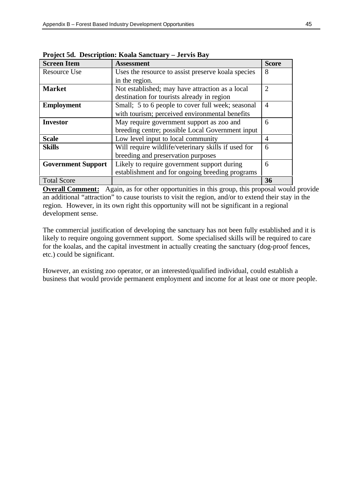| <b>Screen Item</b>        | <b>Assessment</b>                                   | <b>Score</b>                |
|---------------------------|-----------------------------------------------------|-----------------------------|
| <b>Resource Use</b>       | Uses the resource to assist preserve koala species  | 8                           |
|                           | in the region.                                      |                             |
| <b>Market</b>             | Not established; may have attraction as a local     | $\mathcal{D}_{\mathcal{A}}$ |
|                           | destination for tourists already in region          |                             |
| <b>Employment</b>         | Small; 5 to 6 people to cover full week; seasonal   | $\overline{4}$              |
|                           | with tourism; perceived environmental benefits      |                             |
| <b>Investor</b>           | May require government support as zoo and           | 6                           |
|                           | breeding centre; possible Local Government input    |                             |
| <b>Scale</b>              | Low level input to local community                  | 4                           |
| <b>Skills</b>             | Will require wildlife/veterinary skills if used for | 6                           |
|                           | breeding and preservation purposes                  |                             |
| <b>Government Support</b> | Likely to require government support during         | 6                           |
|                           | establishment and for ongoing breeding programs     |                             |
| <b>Total Score</b>        |                                                     | 36                          |

**Project 5d. Description: Koala Sanctuary – Jervis Bay**

**Overall Comment:** Again, as for other opportunities in this group, this proposal would provide an additional "attraction" to cause tourists to visit the region, and/or to extend their stay in the region. However, in its own right this opportunity will not be significant in a regional development sense.

The commercial justification of developing the sanctuary has not been fully established and it is likely to require ongoing government support. Some specialised skills will be required to care for the koalas, and the capital investment in actually creating the sanctuary (dog-proof fences, etc.) could be significant.

However, an existing zoo operator, or an interested/qualified individual, could establish a business that would provide permanent employment and income for at least one or more people.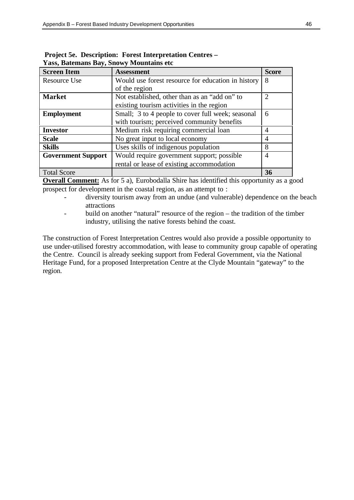| <b>Screen Item</b>        | <b>Assessment</b>                                  | <b>Score</b>          |
|---------------------------|----------------------------------------------------|-----------------------|
| Resource Use              | Would use forest resource for education in history | 8                     |
|                           | of the region                                      |                       |
| <b>Market</b>             | Not established, other than as an "add on" to      | $\mathcal{D}_{\cdot}$ |
|                           | existing tourism activities in the region          |                       |
| <b>Employment</b>         | Small; 3 to 4 people to cover full week; seasonal  | 6                     |
|                           | with tourism; perceived community benefits         |                       |
| <b>Investor</b>           | Medium risk requiring commercial loan              | 4                     |
| <b>Scale</b>              | No great input to local economy                    | 4                     |
| <b>Skills</b>             | Uses skills of indigenous population               | 8                     |
| <b>Government Support</b> | Would require government support; possible         | 4                     |
|                           | rental or lease of existing accommodation          |                       |
| <b>Total Score</b>        |                                                    | 36                    |

 **Project 5e. Description: Forest Interpretation Centres – Yass, Batemans Bay, Snowy Mountains etc**

**Overall Comment:** As for 5 a), Eurobodalla Shire has identified this opportunity as a good prospect for development in the coastal region, as an attempt to :

- diversity tourism away from an undue (and vulnerable) dependence on the beach attractions
- build on another "natural" resource of the region the tradition of the timber industry, utilising the native forests behind the coast.

The construction of Forest Interpretation Centres would also provide a possible opportunity to use under-utilised forestry accommodation, with lease to community group capable of operating the Centre. Council is already seeking support from Federal Government, via the National Heritage Fund, for a proposed Interpretation Centre at the Clyde Mountain "gateway" to the region.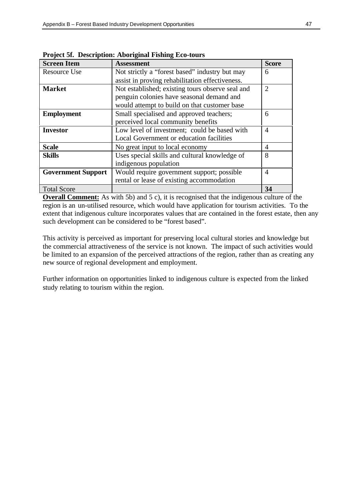| <b>Screen Item</b>        | <b>Assessment</b>                                | <b>Score</b>   |
|---------------------------|--------------------------------------------------|----------------|
| <b>Resource Use</b>       | Not strictly a "forest based" industry but may   | 6              |
|                           | assist in proving rehabilitation effectiveness.  |                |
| <b>Market</b>             | Not established; existing tours observe seal and | $\overline{2}$ |
|                           | penguin colonies have seasonal demand and        |                |
|                           | would attempt to build on that customer base     |                |
| <b>Employment</b>         | Small specialised and approved teachers;         | 6              |
|                           | perceived local community benefits               |                |
| <b>Investor</b>           | Low level of investment; could be based with     | 4              |
|                           | Local Government or education facilities         |                |
| <b>Scale</b>              | No great input to local economy                  | 4              |
| <b>Skills</b>             | Uses special skills and cultural knowledge of    | 8              |
|                           | indigenous population                            |                |
| <b>Government Support</b> | Would require government support; possible       | 4              |
|                           | rental or lease of existing accommodation        |                |
| <b>Total Score</b>        |                                                  | 34             |

**Project 5f. Description: Aboriginal Fishing Eco-tours**

**Overall Comment:** As with 5b) and 5 c), it is recognised that the indigenous culture of the region is an un-utilised resource, which would have application for tourism activities. To the extent that indigenous culture incorporates values that are contained in the forest estate, then any such development can be considered to be "forest based".

This activity is perceived as important for preserving local cultural stories and knowledge but the commercial attractiveness of the service is not known. The impact of such activities would be limited to an expansion of the perceived attractions of the region, rather than as creating any new source of regional development and employment.

Further information on opportunities linked to indigenous culture is expected from the linked study relating to tourism within the region.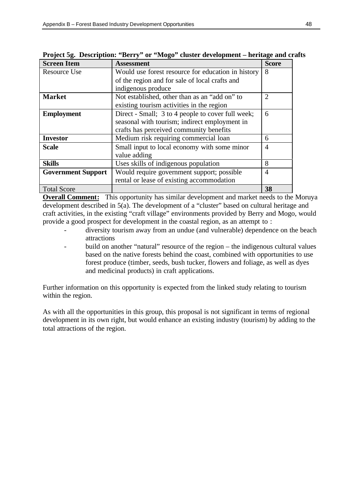| <b>Screen Item</b>        | <b>Assessment</b>                                  | <b>Score</b>   |
|---------------------------|----------------------------------------------------|----------------|
| <b>Resource Use</b>       | Would use forest resource for education in history | 8              |
|                           | of the region and for sale of local crafts and     |                |
|                           | indigenous produce                                 |                |
| <b>Market</b>             | Not established, other than as an "add on" to      | $\overline{2}$ |
|                           | existing tourism activities in the region          |                |
| <b>Employment</b>         | Direct - Small; 3 to 4 people to cover full week;  | 6              |
|                           | seasonal with tourism; indirect employment in      |                |
|                           | crafts has perceived community benefits            |                |
| <b>Investor</b>           | Medium risk requiring commercial loan              | 6              |
| <b>Scale</b>              | Small input to local economy with some minor       | $\overline{4}$ |
|                           | value adding                                       |                |
| <b>Skills</b>             | Uses skills of indigenous population               | 8              |
| <b>Government Support</b> | Would require government support; possible         | $\overline{4}$ |
|                           | rental or lease of existing accommodation          |                |
| <b>Total Score</b>        |                                                    | 38             |

**Project 5g. Description: "Berry" or "Mogo" cluster development – heritage and crafts**

**Overall Comment:** This opportunity has similar development and market needs to the Moruya development described in 5(a). The development of a "cluster" based on cultural heritage and craft activities, in the existing "craft village" environments provided by Berry and Mogo, would provide a good prospect for development in the coastal region, as an attempt to :

- diversity tourism away from an undue (and vulnerable) dependence on the beach attractions
- build on another "natural" resource of the region the indigenous cultural values based on the native forests behind the coast, combined with opportunities to use forest produce (timber, seeds, bush tucker, flowers and foliage, as well as dyes and medicinal products) in craft applications.

Further information on this opportunity is expected from the linked study relating to tourism within the region.

As with all the opportunities in this group, this proposal is not significant in terms of regional development in its own right, but would enhance an existing industry (tourism) by adding to the total attractions of the region.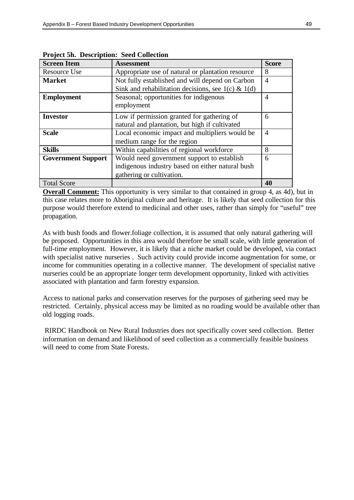| $\epsilon$ m $\epsilon$ $\epsilon$ <sup>2</sup> $\epsilon$ |                                                       |              |
|------------------------------------------------------------|-------------------------------------------------------|--------------|
| <b>Screen Item</b>                                         | <b>Assessment</b>                                     | <b>Score</b> |
| Resource Use                                               | Appropriate use of natural or plantation resource     | 8            |
| <b>Market</b>                                              | Not fully established and will depend on Carbon       | 4            |
|                                                            | Sink and rehabilitation decisions, see $1(c) \& 1(d)$ |              |
| <b>Employment</b>                                          | Seasonal; opportunities for indigenous                | 4            |
|                                                            | employment                                            |              |
| <b>Investor</b>                                            | Low if permission granted for gathering of            | 6            |
|                                                            | natural and plantation, but high if cultivated        |              |
| <b>Scale</b>                                               | Local economic impact and multipliers would be        | 4            |
|                                                            | medium range for the region                           |              |
| <b>Skills</b>                                              | Within capabilities of regional workforce             | 8            |
| <b>Government Support</b>                                  | Would need government support to establish            | 6            |
|                                                            | indigenous industry based on either natural bush      |              |
|                                                            | gathering or cultivation.                             |              |
| <b>Total Score</b>                                         |                                                       | 40           |

**Project 5h. Description: Seed Collection**

**Overall Comment:** This opportunity is very similar to that contained in group 4, as 4d), but in this case relates more to Aboriginal culture and heritage. It is likely that seed collection for this purpose would therefore extend to medicinal and other uses, rather than simply for "useful" tree propagation.

As with bush foods and flower.foliage collection, it is assumed that only natural gathering will be proposed. Opportunities in this area would therefore be small scale, with little generation of full-time employment. However, it is likely that a niche market could be developed, via contact with specialist native nurseries . Such activity could provide income augmentation for some, or income for communities operating in a collective manner. The development of specialist native nurseries could be an appropriate longer term development opportunity, linked with activities associated with plantation and farm forestry expansion.

Access to national parks and conservation reserves for the purposes of gathering seed may be restricted. Certainly, physical access may be limited as no roading would be available other than old logging roads.

 RIRDC Handbook on New Rural Industries does not specifically cover seed collection. Better information on demand and likelihood of seed collection as a commercially feasible business will need to come from State Forests.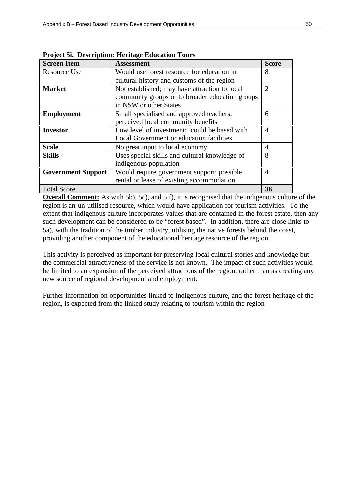| <b>Screen Item</b>        | <b>Assessment</b>                               | <b>Score</b> |
|---------------------------|-------------------------------------------------|--------------|
| <b>Resource Use</b>       | Would use forest resource for education in      | 8            |
|                           | cultural history and customs of the region      |              |
| <b>Market</b>             | Not established; may have attraction to local   | 2            |
|                           | community groups or to broader education groups |              |
|                           | in NSW or other States                          |              |
| <b>Employment</b>         | Small specialised and approved teachers;        | 6            |
|                           | perceived local community benefits              |              |
| <b>Investor</b>           | Low level of investment; could be based with    | 4            |
|                           | Local Government or education facilities        |              |
| <b>Scale</b>              | No great input to local economy                 | 4            |
| <b>Skills</b>             | Uses special skills and cultural knowledge of   | 8            |
|                           | indigenous population                           |              |
| <b>Government Support</b> | Would require government support; possible      | 4            |
|                           | rental or lease of existing accommodation       |              |
| <b>Total Score</b>        |                                                 | 36           |

**Project 5i. Description: Heritage Education Tours**

**Overall Comment:** As with 5b), 5c), and 5 f), it is recognised that the indigenous culture of the region is an un-utilised resource, which would have application for tourism activities. To the extent that indigenous culture incorporates values that are contained in the forest estate, then any such development can be considered to be "forest based". In addition, there are close links to 5a), with the tradition of the timber industry, utilising the native forests behind the coast, providing another component of the educational heritage resource of the region.

This activity is perceived as important for preserving local cultural stories and knowledge but the commercial attractiveness of the service is not known. The impact of such activities would be limited to an expansion of the perceived attractions of the region, rather than as creating any new source of regional development and employment.

Further information on opportunities linked to indigenous culture, and the forest heritage of the region, is expected from the linked study relating to tourism within the region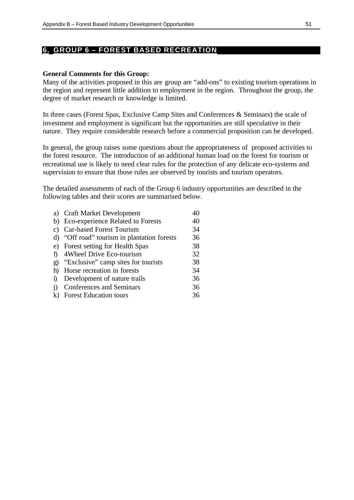#### **6. GROUP 6 – FOREST BASED RECREATION**

#### **General Comments for this Group:**

Many of the activities proposed in this are group are "add-ons" to existing tourism operations in the region and represent little addition to employment in the region. Throughout the group, the degree of market research or knowledge is limited.

In three cases (Forest Spas, Exclusive Camp Sites and Conferences & Seminars) the scale of investment and employment is significant but the opportunities are still speculative in their nature. They require considerable research before a commercial proposition can be developed.

In general, the group raises some questions about the appropriateness of proposed activities to the forest resource. The introduction of an additional human load on the forest for tourism or recreational use is likely to need clear rules for the protection of any delicate eco-systems and supervision to ensure that those rules are observed by tourists and tourism operators.

The detailed assessments of each of the Group 6 industry opportunities are described in the following tables and their scores are summarised below.

|            | a) Craft Market Development                 | 40 |
|------------|---------------------------------------------|----|
|            | b) Eco-experience Related to Forests        | 40 |
|            | c) Car-based Forest Tourism                 | 34 |
|            | d) "Off road" tourism in plantation forests | 36 |
|            | e) Forest setting for Health Spas           | 38 |
|            | f) 4Wheel Drive Eco-tourism                 | 32 |
|            | g) "Exclusive" camp sites for tourists      | 38 |
| h)         | Horse recreation in forests                 | 34 |
| $\ddot{1}$ | Development of nature trails                | 36 |
|            | i) Conferences and Seminars                 | 36 |
|            | k) Forest Education tours                   | 36 |
|            |                                             |    |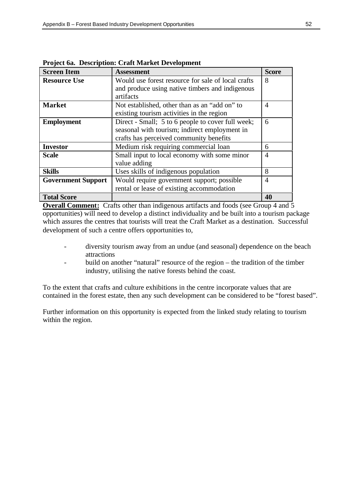| <b>Screen Item</b>        | <b>Assessment</b>                                                                                                                             | <b>Score</b> |
|---------------------------|-----------------------------------------------------------------------------------------------------------------------------------------------|--------------|
| <b>Resource Use</b>       | Would use forest resource for sale of local crafts<br>and produce using native timbers and indigenous<br>artifacts                            | 8            |
| <b>Market</b>             | Not established, other than as an "add on" to<br>existing tourism activities in the region                                                    | 4            |
| <b>Employment</b>         | Direct - Small; 5 to 6 people to cover full week;<br>seasonal with tourism; indirect employment in<br>crafts has perceived community benefits | 6            |
| <b>Investor</b>           | Medium risk requiring commercial loan                                                                                                         | 6            |
| <b>Scale</b>              | Small input to local economy with some minor<br>value adding                                                                                  | 4            |
| <b>Skills</b>             | Uses skills of indigenous population                                                                                                          | 8            |
| <b>Government Support</b> | Would require government support; possible<br>rental or lease of existing accommodation                                                       | 4            |
| <b>Total Score</b>        |                                                                                                                                               | 40           |

**Project 6a. Description: Craft Market Development**

**Overall Comment:** Crafts other than indigenous artifacts and foods (see Group 4 and 5 opportunities) will need to develop a distinct individuality and be built into a tourism package which assures the centres that tourists will treat the Craft Market as a destination. Successful development of such a centre offers opportunities to,

- diversity tourism away from an undue (and seasonal) dependence on the beach attractions
- build on another "natural" resource of the region the tradition of the timber industry, utilising the native forests behind the coast.

To the extent that crafts and culture exhibitions in the centre incorporate values that are contained in the forest estate, then any such development can be considered to be "forest based".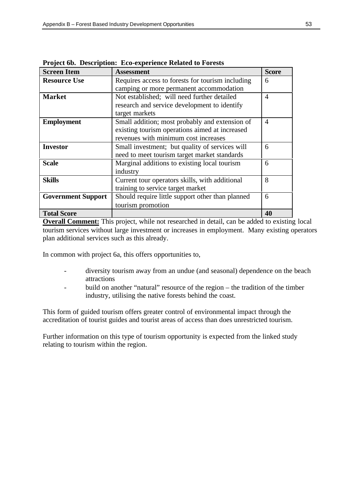| <b>Screen Item</b>        | <b>Assessment</b>                                | <b>Score</b>   |
|---------------------------|--------------------------------------------------|----------------|
| <b>Resource Use</b>       | Requires access to forests for tourism including | 6              |
|                           | camping or more permanent accommodation          |                |
| <b>Market</b>             | Not established; will need further detailed      | 4              |
|                           | research and service development to identify     |                |
|                           | target markets                                   |                |
| <b>Employment</b>         | Small addition; most probably and extension of   | $\overline{4}$ |
|                           | existing tourism operations aimed at increased   |                |
|                           | revenues with minimum cost increases             |                |
| <b>Investor</b>           | Small investment; but quality of services will   | 6              |
|                           | need to meet tourism target market standards     |                |
| <b>Scale</b>              | Marginal additions to existing local tourism     | 6              |
|                           | industry                                         |                |
| <b>Skills</b>             | Current tour operators skills, with additional   | 8              |
|                           | training to service target market                |                |
| <b>Government Support</b> | Should require little support other than planned | 6              |
|                           | tourism promotion                                |                |
| <b>Total Score</b>        |                                                  | 40             |

**Project 6b. Description: Eco-experience Related to Forests**

**Overall Comment:** This project, while not researched in detail, can be added to existing local tourism services without large investment or increases in employment. Many existing operators plan additional services such as this already.

In common with project 6a, this offers opportunities to,

- diversity tourism away from an undue (and seasonal) dependence on the beach attractions
- build on another "natural" resource of the region the tradition of the timber industry, utilising the native forests behind the coast.

This form of guided tourism offers greater control of environmental impact through the accreditation of tourist guides and tourist areas of access than does unrestricted tourism.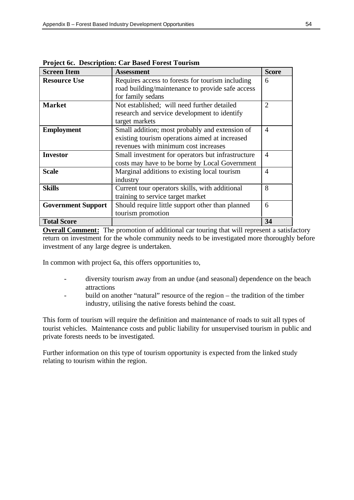| <b>Screen Item</b>        | <b>Assessment</b>                                 | <b>Score</b>   |
|---------------------------|---------------------------------------------------|----------------|
| <b>Resource Use</b>       | Requires access to forests for tourism including  | 6              |
|                           | road building/maintenance to provide safe access  |                |
|                           | for family sedans                                 |                |
| <b>Market</b>             | Not established; will need further detailed       | $\overline{2}$ |
|                           | research and service development to identify      |                |
|                           | target markets                                    |                |
| <b>Employment</b>         | Small addition; most probably and extension of    | $\overline{4}$ |
|                           | existing tourism operations aimed at increased    |                |
|                           | revenues with minimum cost increases              |                |
| <b>Investor</b>           | Small investment for operators but infrastructure | $\overline{4}$ |
|                           | costs may have to be borne by Local Government    |                |
| <b>Scale</b>              | Marginal additions to existing local tourism      | $\overline{4}$ |
|                           | industry                                          |                |
| <b>Skills</b>             | Current tour operators skills, with additional    | 8              |
|                           | training to service target market                 |                |
| <b>Government Support</b> | Should require little support other than planned  | 6              |
|                           | tourism promotion                                 |                |
| <b>Total Score</b>        |                                                   | 34             |

**Project 6c. Description: Car Based Forest Tourism**

**Overall Comment:** The promotion of additional car touring that will represent a satisfactory return on investment for the whole community needs to be investigated more thoroughly before investment of any large degree is undertaken.

In common with project 6a, this offers opportunities to,

- diversity tourism away from an undue (and seasonal) dependence on the beach attractions
- build on another "natural" resource of the region the tradition of the timber industry, utilising the native forests behind the coast.

This form of tourism will require the definition and maintenance of roads to suit all types of tourist vehicles. Maintenance costs and public liability for unsupervised tourism in public and private forests needs to be investigated.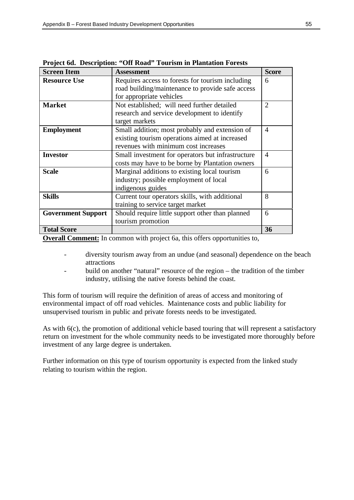| <b>Screen Item</b>        | <b>Assessment</b>                                 | <b>Score</b>   |
|---------------------------|---------------------------------------------------|----------------|
| <b>Resource Use</b>       | Requires access to forests for tourism including  | 6              |
|                           | road building/maintenance to provide safe access  |                |
|                           | for appropriate vehicles                          |                |
| <b>Market</b>             | Not established; will need further detailed       | $\mathfrak{D}$ |
|                           | research and service development to identify      |                |
|                           | target markets                                    |                |
| <b>Employment</b>         | Small addition; most probably and extension of    | 4              |
|                           | existing tourism operations aimed at increased    |                |
|                           | revenues with minimum cost increases              |                |
| <b>Investor</b>           | Small investment for operators but infrastructure | 4              |
|                           | costs may have to be borne by Plantation owners   |                |
| <b>Scale</b>              | Marginal additions to existing local tourism      | 6              |
|                           | industry; possible employment of local            |                |
|                           | indigenous guides                                 |                |
| <b>Skills</b>             | Current tour operators skills, with additional    | 8              |
|                           | training to service target market                 |                |
| <b>Government Support</b> | Should require little support other than planned  | 6              |
|                           | tourism promotion                                 |                |
| <b>Total Score</b>        |                                                   | 36             |

**Project 6d. Description: "Off Road" Tourism in Plantation Forests**

**Overall Comment:** In common with project 6a, this offers opportunities to,

- diversity tourism away from an undue (and seasonal) dependence on the beach attractions
- build on another "natural" resource of the region the tradition of the timber industry, utilising the native forests behind the coast.

This form of tourism will require the definition of areas of access and monitoring of environmental impact of off road vehicles. Maintenance costs and public liability for unsupervised tourism in public and private forests needs to be investigated.

As with 6(c), the promotion of additional vehicle based touring that will represent a satisfactory return on investment for the whole community needs to be investigated more thoroughly before investment of any large degree is undertaken.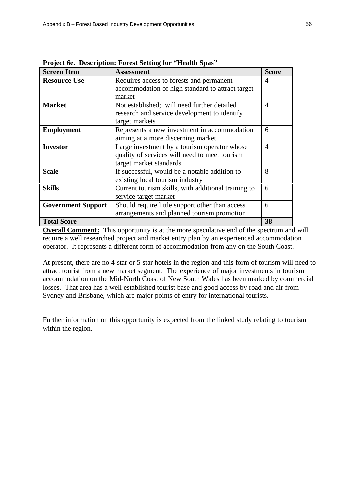| <b>Screen Item</b>        | <b>Assessment</b>                                                                                                        | <b>Score</b>   |
|---------------------------|--------------------------------------------------------------------------------------------------------------------------|----------------|
| <b>Resource Use</b>       | Requires access to forests and permanent<br>accommodation of high standard to attract target<br>market                   | 4              |
| <b>Market</b>             | Not established; will need further detailed<br>research and service development to identify<br>target markets            | 4              |
| <b>Employment</b>         | Represents a new investment in accommodation<br>aiming at a more discerning market                                       | 6              |
| <b>Investor</b>           | Large investment by a tourism operator whose<br>quality of services will need to meet tourism<br>target market standards | $\overline{4}$ |
| <b>Scale</b>              | If successful, would be a notable addition to<br>existing local tourism industry                                         | 8              |
| <b>Skills</b>             | Current tourism skills, with additional training to<br>service target market                                             | 6              |
| <b>Government Support</b> | Should require little support other than access<br>arrangements and planned tourism promotion                            | 6              |
| <b>Total Score</b>        |                                                                                                                          | 38             |

**Project 6e. Description: Forest Setting for "Health Spas"**

**Overall Comment:** This opportunity is at the more speculative end of the spectrum and will require a well researched project and market entry plan by an experienced accommodation operator. It represents a different form of accommodation from any on the South Coast.

At present, there are no 4-star or 5-star hotels in the region and this form of tourism will need to attract tourist from a new market segment. The experience of major investments in tourism accommodation on the Mid-North Coast of New South Wales has been marked by commercial losses. That area has a well established tourist base and good access by road and air from Sydney and Brisbane, which are major points of entry for international tourists.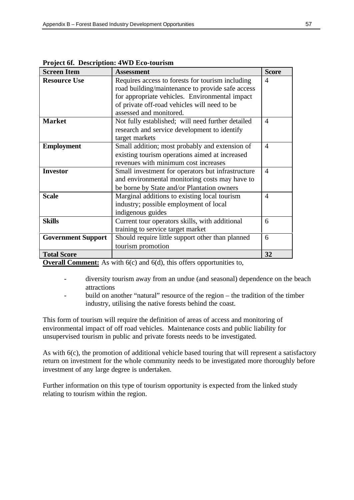| <b>Screen Item</b>        | <b>Assessment</b>                                 | <b>Score</b>   |
|---------------------------|---------------------------------------------------|----------------|
| <b>Resource Use</b>       | Requires access to forests for tourism including  | $\overline{4}$ |
|                           | road building/maintenance to provide safe access  |                |
|                           | for appropriate vehicles. Environmental impact    |                |
|                           | of private off-road vehicles will need to be      |                |
|                           | assessed and monitored.                           |                |
| <b>Market</b>             | Not fully established; will need further detailed | $\overline{4}$ |
|                           | research and service development to identify      |                |
|                           | target markets                                    |                |
| <b>Employment</b>         | Small addition; most probably and extension of    | $\overline{4}$ |
|                           | existing tourism operations aimed at increased    |                |
|                           | revenues with minimum cost increases              |                |
| <b>Investor</b>           | Small investment for operators but infrastructure | 4              |
|                           | and environmental monitoring costs may have to    |                |
|                           | be borne by State and/or Plantation owners        |                |
| <b>Scale</b>              | Marginal additions to existing local tourism      | 4              |
|                           | industry; possible employment of local            |                |
|                           | indigenous guides                                 |                |
| <b>Skills</b>             | Current tour operators skills, with additional    | 6              |
|                           | training to service target market                 |                |
| <b>Government Support</b> | Should require little support other than planned  | 6              |
|                           | tourism promotion                                 |                |
| <b>Total Score</b>        |                                                   | 32             |

**Project 6f. Description: 4WD Eco-tourism**

**Overall Comment:** As with 6(c) and 6(d), this offers opportunities to,

- diversity tourism away from an undue (and seasonal) dependence on the beach attractions
- build on another "natural" resource of the region the tradition of the timber industry, utilising the native forests behind the coast.

This form of tourism will require the definition of areas of access and monitoring of environmental impact of off road vehicles. Maintenance costs and public liability for unsupervised tourism in public and private forests needs to be investigated.

As with 6(c), the promotion of additional vehicle based touring that will represent a satisfactory return on investment for the whole community needs to be investigated more thoroughly before investment of any large degree is undertaken.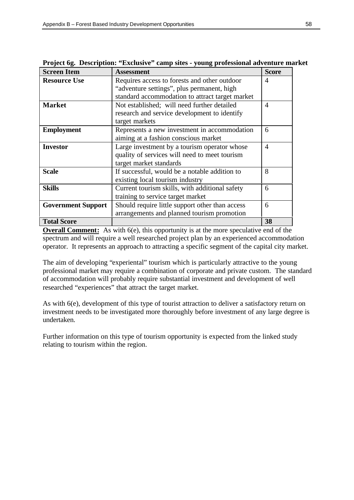| <b>Screen Item</b>        | <b>Assessment</b>                               | <b>Score</b>   |
|---------------------------|-------------------------------------------------|----------------|
| <b>Resource Use</b>       | Requires access to forests and other outdoor    | 4              |
|                           | "adventure settings", plus permanent, high      |                |
|                           | standard accommodation to attract target market |                |
| <b>Market</b>             | Not established; will need further detailed     | $\overline{4}$ |
|                           | research and service development to identify    |                |
|                           | target markets                                  |                |
| <b>Employment</b>         | Represents a new investment in accommodation    | 6              |
|                           | aiming at a fashion conscious market            |                |
| <b>Investor</b>           | Large investment by a tourism operator whose    | 4              |
|                           | quality of services will need to meet tourism   |                |
|                           | target market standards                         |                |
| <b>Scale</b>              | If successful, would be a notable addition to   | 8              |
|                           | existing local tourism industry                 |                |
| <b>Skills</b>             | Current tourism skills, with additional safety  | 6              |
|                           | training to service target market               |                |
| <b>Government Support</b> | Should require little support other than access | 6              |
|                           | arrangements and planned tourism promotion      |                |
| <b>Total Score</b>        |                                                 | 38             |

|  |  |  |  | Project 6g. Description: "Exclusive" camp sites - young professional adventure market |  |
|--|--|--|--|---------------------------------------------------------------------------------------|--|
|--|--|--|--|---------------------------------------------------------------------------------------|--|

**Overall Comment:** As with 6(e), this opportunity is at the more speculative end of the spectrum and will require a well researched project plan by an experienced accommodation operator. It represents an approach to attracting a specific segment of the capital city market.

The aim of developing "experiental" tourism which is particularly attractive to the young professional market may require a combination of corporate and private custom. The standard of accommodation will probably require substantial investment and development of well researched "experiences" that attract the target market.

As with 6(e), development of this type of tourist attraction to deliver a satisfactory return on investment needs to be investigated more thoroughly before investment of any large degree is undertaken.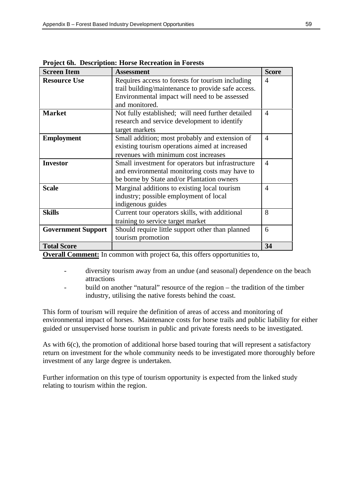| <b>Screen Item</b>        | <b>Assessment</b>                                  | <b>Score</b>   |
|---------------------------|----------------------------------------------------|----------------|
| <b>Resource Use</b>       | Requires access to forests for tourism including   | 4              |
|                           | trail building/maintenance to provide safe access. |                |
|                           | Environmental impact will need to be assessed      |                |
|                           | and monitored.                                     |                |
| <b>Market</b>             | Not fully established; will need further detailed  | 4              |
|                           | research and service development to identify       |                |
|                           | target markets                                     |                |
| <b>Employment</b>         | Small addition; most probably and extension of     | 4              |
|                           | existing tourism operations aimed at increased     |                |
|                           | revenues with minimum cost increases               |                |
| <b>Investor</b>           | Small investment for operators but infrastructure  | $\overline{4}$ |
|                           | and environmental monitoring costs may have to     |                |
|                           | be borne by State and/or Plantation owners         |                |
| <b>Scale</b>              | Marginal additions to existing local tourism       | 4              |
|                           | industry; possible employment of local             |                |
|                           | indigenous guides                                  |                |
| <b>Skills</b>             | Current tour operators skills, with additional     | 8              |
|                           | training to service target market                  |                |
| <b>Government Support</b> | Should require little support other than planned   | 6              |
|                           | tourism promotion                                  |                |
| <b>Total Score</b>        |                                                    | 34             |

**Project 6h. Description: Horse Recreation in Forests**

**Overall Comment:** In common with project 6a, this offers opportunities to,

- diversity tourism away from an undue (and seasonal) dependence on the beach attractions
- build on another "natural" resource of the region the tradition of the timber industry, utilising the native forests behind the coast.

This form of tourism will require the definition of areas of access and monitoring of environmental impact of horses. Maintenance costs for horse trails and public liability for either guided or unsupervised horse tourism in public and private forests needs to be investigated.

As with 6(c), the promotion of additional horse based touring that will represent a satisfactory return on investment for the whole community needs to be investigated more thoroughly before investment of any large degree is undertaken.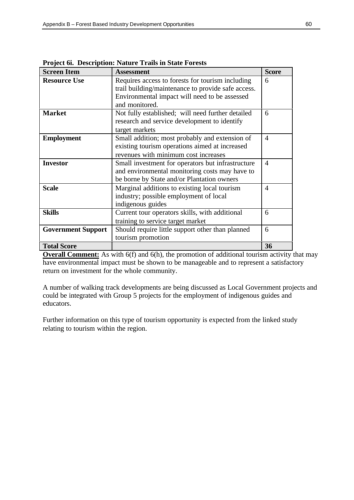| <b>Screen Item</b>        | <b>Assessment</b>                                  | <b>Score</b>   |
|---------------------------|----------------------------------------------------|----------------|
| <b>Resource Use</b>       | Requires access to forests for tourism including   | 6              |
|                           | trail building/maintenance to provide safe access. |                |
|                           | Environmental impact will need to be assessed      |                |
|                           | and monitored.                                     |                |
| <b>Market</b>             | Not fully established; will need further detailed  | 6              |
|                           | research and service development to identify       |                |
|                           | target markets                                     |                |
| <b>Employment</b>         | Small addition; most probably and extension of     | $\overline{4}$ |
|                           | existing tourism operations aimed at increased     |                |
|                           | revenues with minimum cost increases               |                |
| <b>Investor</b>           | Small investment for operators but infrastructure  | $\overline{4}$ |
|                           | and environmental monitoring costs may have to     |                |
|                           | be borne by State and/or Plantation owners         |                |
| <b>Scale</b>              | Marginal additions to existing local tourism       | 4              |
|                           | industry; possible employment of local             |                |
|                           | indigenous guides                                  |                |
| <b>Skills</b>             | Current tour operators skills, with additional     | 6              |
|                           | training to service target market                  |                |
| <b>Government Support</b> | Should require little support other than planned   | 6              |
|                           | tourism promotion                                  |                |
| <b>Total Score</b>        |                                                    | 36             |

**Project 6i. Description: Nature Trails in State Forests**

**Overall Comment:** As with 6(f) and 6(h), the promotion of additional tourism activity that may have environmental impact must be shown to be manageable and to represent a satisfactory return on investment for the whole community.

A number of walking track developments are being discussed as Local Government projects and could be integrated with Group 5 projects for the employment of indigenous guides and educators.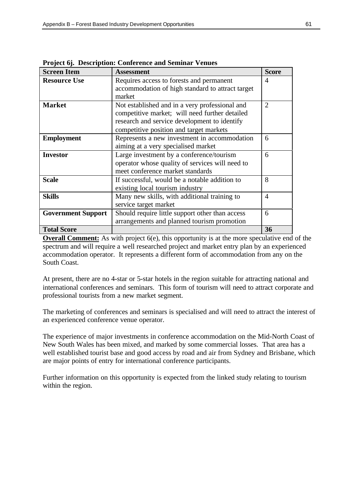| <b>Screen Item</b>        | <b>Assessment</b>                                | <b>Score</b>                |
|---------------------------|--------------------------------------------------|-----------------------------|
| <b>Resource Use</b>       | Requires access to forests and permanent         | 4                           |
|                           | accommodation of high standard to attract target |                             |
|                           | market                                           |                             |
| <b>Market</b>             | Not established and in a very professional and   | $\mathcal{D}_{\mathcal{L}}$ |
|                           | competitive market; will need further detailed   |                             |
|                           | research and service development to identify     |                             |
|                           | competitive position and target markets          |                             |
| <b>Employment</b>         | Represents a new investment in accommodation     | 6                           |
|                           | aiming at a very specialised market              |                             |
| <b>Investor</b>           | Large investment by a conference/tourism         | 6                           |
|                           | operator whose quality of services will need to  |                             |
|                           | meet conference market standards                 |                             |
| <b>Scale</b>              | If successful, would be a notable addition to    | 8                           |
|                           | existing local tourism industry                  |                             |
| <b>Skills</b>             | Many new skills, with additional training to     | 4                           |
|                           | service target market                            |                             |
| <b>Government Support</b> | Should require little support other than access  | 6                           |
|                           | arrangements and planned tourism promotion       |                             |
| <b>Total Score</b>        |                                                  | 36                          |

**Project 6j. Description: Conference and Seminar Venues**

**Overall Comment:** As with project 6(e), this opportunity is at the more speculative end of the spectrum and will require a well researched project and market entry plan by an experienced accommodation operator. It represents a different form of accommodation from any on the South Coast.

At present, there are no 4-star or 5-star hotels in the region suitable for attracting national and international conferences and seminars. This form of tourism will need to attract corporate and professional tourists from a new market segment.

The marketing of conferences and seminars is specialised and will need to attract the interest of an experienced conference venue operator.

The experience of major investments in conference accommodation on the Mid-North Coast of New South Wales has been mixed, and marked by some commercial losses. That area has a well established tourist base and good access by road and air from Sydney and Brisbane, which are major points of entry for international conference participants.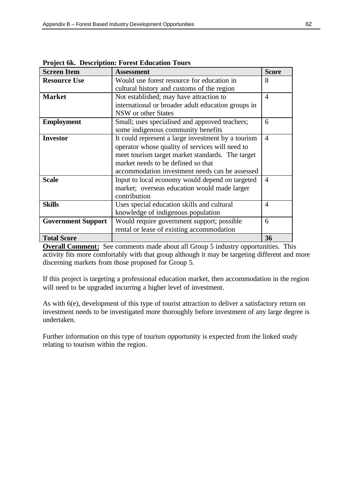| <b>Screen Item</b>        | <b>Assessment</b>                                  | <b>Score</b>   |
|---------------------------|----------------------------------------------------|----------------|
| <b>Resource Use</b>       | Would use forest resource for education in         | 8              |
|                           | cultural history and customs of the region         |                |
| <b>Market</b>             | Not established; may have attraction to            | 4              |
|                           | international or broader adult education groups in |                |
|                           | NSW or other States                                |                |
| <b>Employment</b>         | Small; uses specialised and approved teachers;     | 6              |
|                           | some indigenous community benefits                 |                |
| <b>Investor</b>           | It could represent a large investment by a tourism | $\overline{4}$ |
|                           | operator whose quality of services will need to    |                |
|                           | meet tourism target market standards. The target   |                |
|                           | market needs to be defined so that                 |                |
|                           | accommodation investment needs can be assessed     |                |
| <b>Scale</b>              | Input to local economy would depend on targeted    | 4              |
|                           | market; overseas education would made larger       |                |
|                           | contribution                                       |                |
| <b>Skills</b>             | Uses special education skills and cultural         | 4              |
|                           | knowledge of indigenous population                 |                |
| <b>Government Support</b> | Would require government support; possible         |                |
|                           | rental or lease of existing accommodation          |                |
| <b>Total Score</b>        |                                                    | 36             |

**Project 6k. Description: Forest Education Tours**

**Overall Comment:** See comments made about all Group 5 industry opportunities. This activity fits more comfortably with that group although it may be targeting different and more discerning markets from those proposed for Group 5.

If this project is targeting a professional education market, then accommodation in the region will need to be upgraded incurring a higher level of investment.

As with 6(e), development of this type of tourist attraction to deliver a satisfactory return on investment needs to be investigated more thoroughly before investment of any large degree is undertaken.